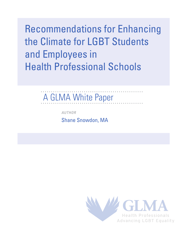Recommendations for Enhancing the Climate for LGBT Students and Employees in Health Professional Schools

# A GLMA White Paper

*AUTHOR*

Shane Snowdon, MA

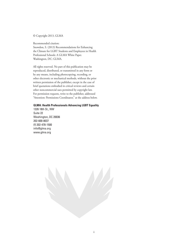© Copyright 2013, GLMA

Recommended citation: Snowdon, S. (2013) Recommendations for Enhancing the Climate for LGBT Students and Employees in Health Professional Schools: A GLMA White Paper. Washington, DC: GLMA.

All rights reserved. No part of this publication may be reproduced, distributed, or transmitted in any form or by any means, including photocopying, recording, or other electronic or mechanical methods, without the prior written permission of the publisher, except in the case of brief quotations embodied in critical reviews and certain other noncommercial uses permitted by copyright law. For permission requests, write to the publisher, addressed "Attention: Permissions Coordinator," at the address below.

#### **GLMA: Health Professionals Advancing LGBT Equality**

1326 18th St., NW Suite 22 Washington, DC 20036 202-600-8037 (f) 202-478-1500 info@glma.org www.glma.org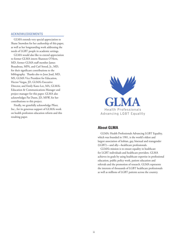#### ACKNOWLEDGEMENTS

GLMA extends very special appreciation to Shane Snowdon for her authorship of this paper, as well as her longstanding work addressing the needs of LGBT people in academic settings.

GLMA would also like to extend appreciation to former GLMA intern Shannon O'Hern, MD, former GLMA staff member James Beaudreau, MPA, and Carl Streed, Jr., MD, for their significant contributions to the bibliography. Thanks also to Jesse Joad, MD, MS, GLMA Vice President for Education, Hector Vargas, JD, GLMA's Executive Director, and Emily Kane-Lee, MA, GLMA's Education & Communications Manager and project manager for this paper. GLMA also acknowledges Pat Dunn, JD, MSW, for her contributions to this project.

Finally, we gratefully acknowledge Pfizer, Inc., for its generous support of GLMA's work on health profession education reform and this resulting paper.



#### **About GLMA**

GLMA: Health Professionals Advancing LGBT Equality, which was founded in 1981, is the world's oldest and largest association of lesbian, gay, bisexual and transgender (LGBT)—and ally—healthcare professionals.

GLMA's mission is to ensure equality in healthcare for LGBT individuals and healthcare providers. GLMA achieves its goals by using healthcare expertise in professional education, public policy work, patient education and referrals and the promotion of research. GLMA represents the interests of thousands of LGBT healthcare professionals as well as millions of LGBT patients across the country.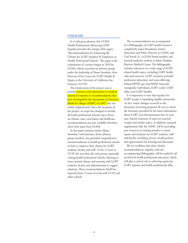#### FOREWORD

It is with great pleasure that GLMA: Health Professionals Advancing LGBT Equality provides this unique white paper, "Recommendations for Enhancing the Climate for LGBT Students & Employees in Health Professional Schools." The paper is the culmination of a project begun in 2010 by GLMA, which convened an advisory group under the leadership of Shane Snowdon, then Director of the Center for LGBT Health & Equity at the University of California San Francisco (UCSF).

The initial intent of the project was to provide resources and information to medical schools in response to recommendations that were developed by the Association of American Medical Colleges (AAMC) in 2007, but not widely implemented. Since the inception of the project, its scope has changed to include all health professional schools and to focus on climate, since curriculum and healthcare recommendations are now available elsewhere, often with input from GLMA.

In this paper, primary author Shane Snowdon, with assistance from advisory group members, has provided comprehensive recommendations to health professional schools on how to improve their climate for LGBT students, faculty and staff. In her 13 years at UCSF, she was often the only person nationally visiting health professional schools, listening to issues around climate and meeting with LGBT students, faculty and administrators to suggest solutions. These recommendations distill her expertise from 13 years of work with UCSF and other schools.

The recommendations are accompanied by a bibliography of LGBT health resources compiled by James Beaudreau, former Education and Policy Director at GLMA, and Carl Streed, Jr., a GLMA board member and internal medicine resident at Johns Hopkins Bayview Medical Center. The bibliography includes references on a wide range of LGBTrelated health topics, including LGBT health risks and concerns, LGBT inclusion in health professions education, and issues affecting lesbians/WSW, gay men/MSM, bisexuals, transgender individuals, LGBT youth, LGBT elders and LGBT families.

It is important to note that equality for LGBT people is expanding rapidly nationwide- -in fact, major changes occurred as this document was being prepared. Be sure to check the footnotes provided for the latest information about LGBT non-discrimination laws in your area, federal treatment of same-sex married couples and similar topics. In addition, national organizations like the AAMC will be providing new resources in coming months to ensure equity and inclusion for LGBT students, staff and faculty, including surveys, model policies, and opportunities for learning and discussion.

We are confident that these climate recommendations, together with the accompanying bibliography, will be useful for all involved in health professional education, which will play a critical role in achieving equity for LGBT patients and health professionals alike.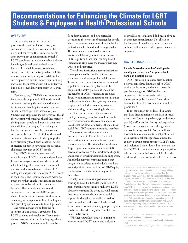## **Recommendations for Enhancing the Climate for LGBT Students & Employees in Health Professional Schools**

#### **OVERVIEW**

It can be very tempting for health professional schools to focus primarily on curriculum in their desire to attend to LGBT needs and concerns. This is understandable, since curriculum enhancement is critical if LGBT people are to receive equitable, inclusive, knowledgeable and sensitive healthcare. It is every bit as vital, however, for schools to ensure that their climate is equitable, inclusive, supportive and welcoming for LGBT students and employees. Climate improvement not only maximizes the success of curriculum initiatives but is also tremendously important in its own right.

Needless to say, LGBT climate improvement is enormously helpful to LGBT students and employees, assuring them of fair and unbiased treatment and enabling them to be their full, authentic selves, just like their colleagues. Students and employees should never fear that if they are simply themselves, that if they mention the important people and events in their lives, they will face bias ranging from joking and hostile comments to ostracism, harassment and career obstacles. And LGBT students and employees, like members of other groups that have historically faced discrimination, deeply appreciate support in navigating the particular challenges they face as LGBT people.

But LGBT climate improvement isn't valuable only to LGBT students and employees. It benefits everyone associated with a health school, helping all become more comfortable, sensitive and knowledgeable vis-à-vis LGBT colleagues and patients (and other LGBT people in their lives). The recommendations below do much more than enable students and employees to steer clear of biased or discriminatory behavior. They also allow students and employees to get to know LGBT people as their full, authentic selves—a critical factor in extending full acceptance to LGBT colleagues and providing optimal care to LGBT patients.

The recommendations address the full spectrum of climate issues experienced by LGBT students and employees. They discuss the cornerstones of institutional equity, which protect LGBT campus community members

from discrimination, and give particular attention to the concerns of transgender people, who have become much more visible in health professional schools and healthcare generally. The recommendations also discuss how institutional diversity initiatives can enhance LGBT equity and inclusion, sending LGBT students and employees the message that they are seen and supported.

These broad institutional recommendations are supplemented by detailed information about best practices in specific activity areas. To ensure that your school mirrors the general population, counters entry barriers to LGBT people in the health professions and enjoys the benefits of LGBT student and employee diversity, admissions and recruitment initiatives are described in detail. Recognizing how much targeted and inclusive programs, together with mentoring and networking initiatives, contribute to the success of students and employees from groups that have historically faced discrimination, the recommendations also discuss the kinds of offerings that are most useful for LGBT campus community members.

The recommendations also explain the importance of offering LGBT-related information, resources and training to your school as a whole. This vital educational work deepens general campus awareness of LGBT needs and concerns, so that work toward equity and inclusion is well understood and supported. Among the many recommendations is that recognition be offered to individuals who have made significant contributions to LGBT equity and inclusion, whether or not they are LGBT themselves.

Finally, your school is urged to consider creating an LGBT office, designating an LGBT point-person or appointing a high-level LGBT advisory committee. By doing so, you'll ensure that these recommendations are as useful as possible, since they can easily be used to structure and guide the work of a dedicated office, point-person or advisory group. They can also be used by a diversity office or officer to frame LGBT work.

Whether your school is just beginning its journey toward LGBT equity and inclusion, or is well along, you should find much of value in these recommendations. Not all can be implemented immediately, but each one you embrace will be a gift to all of your students and employees.

#### INSTITUTIONAL EQUITY

#### **Include "sexual orientation" and "gender identity and expression" in your school's nondiscrimination policy.**

LGBT protection in a non-discrimination policy is considered foundational to LGBT equity and inclusion, and sends a powerful positive message to LGBT students and employees. It is also strongly backed by the American public, about 75% of whom believe that LGBT discrimination should be prohibited.<sup>1</sup>

Your school may not be located in a state that bans discrimination on the basis of sexual orientation (protecting lesbian, gay and bisexual people) and/or gender identity and expression (protecting transgender and other gendernon-conforming people).<sup>2</sup> You are still free, however, to create an institutional prohibition with institutional consequences, a move that conveys a strong commitment to LGBT equity and inclusion. Schools located in states that do ban LGBT discrimination are strongly urged to mirror that ban in their own policies, in order to affirm their concern for their LGBT students

<sup>1.</sup> Since at least 2001, 75% or more of the American public, in major national polls, has indicated support for laws prohibiting discrimination on the basis of sexual orientation. See, for example, Inside-OUT: A Report on the Experiences of Lesbians, Gays and Bisexuals in America and the Public s Views on Issues and Policies Related to Sexual Orientation, The Kaiser Family Foundation, 2001, http://kaiserfamilyfoundation.files.wordpress. com/2013/01/national-surveys-on-experiences-of-lesbians-gaysand-bisexuals-and-the-public-s-views-related-to-sexual-orientation. pdf. Polling with respect to protection vis-à-vis gender identity and expression has been more limited, but a recent national poll that found 75% support for sexual orientation protection found 73% support for gender identity/expression protection: http://www. americanprogress.org/issues/lgbt/news/2011/06/02/9716/pollsshow-huge-public-support-for-gay-and-transgender-workplaceprotections/.)

<sup>2.</sup> More information about LGBT discrimination laws and policies in your state is available at these websites:

http://www.ngltf.org/reports\_and\_research/nondiscrimination\_ laws

http://www.hrc.org/resources/entry/maps-of-state-laws-policies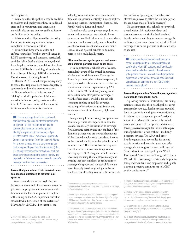and employees.

• Make sure that the policy is readily available to students and employees online, in trafficked areas and in recruitment and orientation materials; also ensure that key staff and faculty are familiar with the policy.

• Make sure that all protected by the policy know how to raise a question or lodge a complaint in connection with it.

• Ensure that those who monitor and enforce your school's policy are well-versed in LGBT terminology and concerns, particularly confidentiality. Staff and faculty charged with handling discrimination complaints often have not had LGBT-related training, since there is no federal law prohibiting LGBT discrimination. (See discussion of training below.)

• Review LGBT-related complaints regularly to assure that responses have been adequate, to spot trends and to take preventive action.

• If your school has a "mistreatment," "civility" or similar policy in addition to a non-discrimination policy, make sure that it is LGBT-inclusive in its call for respectful treatment of all community members.

. . . . . . . . . . . . . . . .

**TIP:** The current legal trend is for courts and administrative agencies to interpret prohibitions of "gender" or "sex" discrimination as also banning discrimination related to gender identity or expression. (For example, in April 2012 the federal Equal Employment Opportunity Commission ruled that Title VII of the Civil Rights Act protects transgender and other non-genderconforming employees from discrimination.3 ) But it is strongly recommended that schools spell out that discrimination related to gender identity and expression is forbidden, in order to send a powerful message that it will not be tolerated.

#### **Ensure that your school treats married samesex spouses identically to different-sex spouses.**

Your school should make no distinction between same-sex and different-sex spouses. In particular, appropriate staff members should be aware of the federal responses to the June 2013 ruling by the U.S. Supreme Court that struck down a key section of the Defense of Marriage Act (DOMA). For example, the

federal government now treats same-sex and different-sex spouses identically in many realms, including taxation, immigration, financial aid, Family Medical Leave and more.<sup>4</sup>

Schools are also strongly encouraged to treat unmarried same-sex partners identically to spouses, as described below, even in states where same-sex couples may legally marry. In order to enhance recruitment and retention, many schools extend spousal benefits to domestic partners who could legally marry.

#### **Offer health coverage to spouses and samesex domestic partners on an equal basis.**

Health professional schools are, of course, particularly aware of the critical importance of adequate health insurance. Coverage for domestic partners (when offered to spouses) is widely viewed as a key element in recruitment, retention and morale, explaining why 62% of the Fortune 500 (and many colleges and universities) now offer partner coverage. A wealth of resources is available for schools seeking to explore or add this coverage, including information about utilization and implementation of this low-cost, high-need benefit.<sup>5</sup>

In equalizing health coverage for spouses and domestic partners, it's important to note that a school's monetary contribution to coverage for a domestic partner (and any children of the domestic partner who are not tax dependents of the covered employee) is considered income to the covered employee under federal law and in most states.<sup>6</sup> This means that the employer contribution to the coverage is reported on the employee's W-2 as regular taxable income, effectively reducing that employee's salary and creating inequity: employer contributions to coverage of a spouse and spouse's children are never federally taxed. A growing number of employers are choosing to offset this inequitable

4. For detailed, up-to-date information about federal implementation of the DOMA ruling, see: http://www.lambdalegal. org/publications/after-doma

5. For example, extensive data and resources related to employer partner coverage are available from the Human Rights Campaign (HRC) Corporate Equality Index: http://www.hrc.org/resources/ entry/establishing-domestic-partner-benefits

6. Some states do not tax benefits provided to members of stateregistered domestic partnerships or civil unions. On the other hand, some states that do not recognize same-sex marriages tax benefits provided to same-sex spouses even though those benefits are now exempt from federal taxation because of the Supreme Court s DOMA ruling.

tax burden by "grossing up" the salaries of affected employees to offset the tax they pay on the employer share of health coverage.7

It's also important that schools not overlook dental, vision, life, accidental death and dismemberment and similar health-related benefits when equalizing insurance coverage. In addition, schools can choose to extend COBRA coverage to same-sex partners on the same basis as spouses.<sup>8</sup>

**TIP:** Make sure benefits administrators at your school are prepared to talk knowledgeably and comfortably with LGBT students, staff and faculty about health and other benefits. If you have not yet equalized benefits, a sensitive and sympathetic explanation of the outlook for equalization is much appreciated, as opposed to a curt "Only family members are eligible."

#### **Ensure that your school's health coverage does not exclude transgender care.**

A growing number of institutions<sup>9</sup> are taking action to ensure that their health policies cover transgender care, e.g., health services provided both in connection with gender transitions and in relation to a transgender person's assigned sex at birth. Many policies currently exclude actual and perceived transgender-related care, forcing covered transgender individuals to pay out of pocket for--or do without--medically necessary services. The AMA and other health organizations have called for an end to this practice and many insurers now offer transgender coverage on request, utilizing the Standards of Care developed by the World Professional Association for Transgender Health (WPATH). This coverage is extremely helpful to transgender students and employees and signals a strong, proactive commitment to LGBT equity and inclusion.<sup>10</sup>

7. The HRC Foundation provides information about grossing up: http://www.hrc.org/resources/entry/domestic-partner-benefitsgrossing-up-to-offset-imputed-income-tax

8. The Society for Human Resource Management (SHRM) provides information about COBRA coverage for same-sex partners: http://www.shrm.org/TemplatesTools/hrqa/pages/ doesfederalcobraapplytosamesexdomesticpartners.aspx

9. For a complete list of educational institutions providing transgender health coverage, see Campus Pride: http://www. campuspride.org/tpc/

10. In-depth information about transgender health coverage is available from HRC: http://www.hrc.org/resources/entry/ transgender-inclusive-benefits-for-employees-and-dependents

<sup>3.</sup> Macy v. Holder, April 2012. See the ruling and a discussion of case by the Transgender Law Center at: http:// transgenderlawcenter.org/archives/635.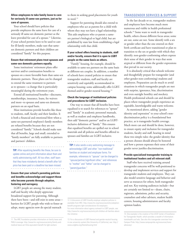#### **Allow employees to take family leave to care for seriously ill same-sex partners, just as for care of spouses.**

Your school should have policies that provide employees the same leave for care of a seriously ill same-sex domestic partner as the leave provided for care of a spouse.<sup>11</sup> Likewise, if your school permits leave to be used to care for ill family members, make sure that samesex domestic partners and their children are considered "family" for this purpose.

#### **Ensure that retirement plans treat spouses and same-sex domestic partners equally.**

Some institutions' retirement plans offer survivor and/or continuation benefits to spouses on a more favorable basis than same-sex domestic partners. These plans can be changed to extend the same treatment to partners as to spouses—a change that is particularly meaningful during the retirement years.

Extend all institutional benefits—discounts, memberships, insurance, loans, fee waivers and more--to spouses and same-sex domestic partners on an equal basis.

Most institutions provide benefits like these to students, staff, faculty and their families. It is both a financial and emotional blow when a same-sex-partnered employee's family members are refused benefits because they are not considered "family." Schools should make sure that all benefits, large and small, extended to "family members" are fully available to partners and partners' children.

. . . . . **TIP:** After equalizing benefits like these, be sure to update online and print information about them and notify administering staff. All too often, staff learn that they have mistakenly denied a benefit after full price has been paid or a deadline has been missed. 

#### **Ensure that your school's parenting policies and benefits acknowledge and support those who become parents through adoption, fostering and surrogacy.**

LGBT people are among the many student, staff and faculty who deeply appreciate broadened support for parenting. Although there have been—and still exist in some areas barriers for LGBT people who wish to foster or adopt, many agencies now do special outreach

to them in seeking good placements for youth in need.<sup>12</sup>

Support for parenting should also extend to employees who act as parents for a child with whom they may not have a legal relationship. This aids employees who co-parent a samesex partner's biological or legal child, but are prohibited by state law from establishing a legal relationship with that child.

#### **If your school offers housing to students, staff and/or faculty, ensure that it is open to LGBT people on the same basis as others.**

"Family" housing, for example, should be available to same-sex partners on the same basis as different-sex couples. In addition, a number of schools have created policies to ensure that transgender students, staff and faculty are sensitively and equitably accommodated in campus housing; some additionally offer LGBTthemed and/or gender-neutral housing.<sup>13</sup>

#### **Check the language of institutional policies and procedures for LGBT inclusion.**

One way to ensure that all benefits have been equalized is to search for references to "spouse" and "family" in academic personnel manuals, as well as student and employee handbooks, then add "domestic partner" and/or an LGBTinclusive definition of "family." This ensures that equalized benefits are spelled out in school materials and all policies and benefits offered to spouses and families are LGBT-inclusive.

. . . . . . . . . . . . . . . . . . . **TIP:** It also sends a very welcoming message to acknowledge LGBT and other "non-traditional" families on student and employee forms. For example, references to "spouse" can be changed to "spouse/partner/significant other," and references to "mother" and "father" can be changed to "parent/guardian."

 $\begin{array}{cccccccccccccc} a & a & a & a & a & a & a & a & a \end{array}$ 

#### TRANSGENDER SERVICES & SUPPORT

In the last decade or so, transgender students and employees have become much more numerous and visible in health professional schools.14 Some want to work in transgender health, others choose different focus areas; some are out, some are not. Some identify with a sex or gender other than the one entered on their birth certificate and have transitioned or plan to transition to the sex or gender with which they identify; non-gender-conforming others express their sense of their gender in ways that seem atypical or different from the gender expressions that prevail in our society.

It is absolutely critical that schools welcome and thoughtfully prepare for transgender (and other gender-non-conforming) students and employees. Preparation can do much to avoid situations in which transgender people are met with surprise, ignorance, bias, discrimination and even outright hostility and mockery. Health professional schools can and should be places where transgender people experience an equitable, knowledgeable and warm welcome.

As mentioned above, adding "gender identity and expression" to your school's nondiscrimination policy is a foundational best practice, as is transgender health coverage. Much more can and should be done, however, to ensure equity and inclusion for transgender students, faculty and staff, bearing in mind these two simple rules: the gender identity that a person chooses should always be honored and how a person expresses their sense of their gender never justifies discrimination.

#### **Provide specialized transgender training to institutional leaders and all relevant staff.**

Staff who have received training around transgender concerns will be well-positioned to develop and implement services and support for transgender students and employees. They can also model sensitive language and behavior and serve as resources for others, both transgender and not. Key training audiences include—but are certainly not limited to—deans, chairs, registrars, admissions, police and security, counselors and other advisers, student health centers, housing administrators and faculty opinion leaders.

<sup>11.</sup> The HRC Foundation provides information on family leave and FMLA coverage: http://www.hrc.org/resources/entry/family-andmedical-leave-act-fmla-equivalent-benefit-for-lgbt-workers

<sup>12.</sup> A discussion of LGBT-friendly employer adoption policies is available from HRC: http://www.hrc.org/resources/entry/adoptionbenefit-programs-lgbt-considerations-for-employers For more information about agency outreach to LGBT people, see: http://www.hrc.org/resources/entry/all-children-all-families-aboutthe-initiative

<sup>13.</sup> For a discussion of LGBT-themed and gender-neutral housing in one university system (the University of California), see: http:// www.uclgbtia.org/themehousing.html

<sup>14.</sup> One example is the creation of the UCSF Center of Excellence for Transgender Health, which provides a wealth of information: transhealth.ucsf.edu. See also this transgender overview from Campus Pride: http://www.campuspride.org/resources/transadvocacy/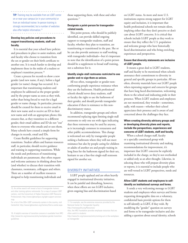**TIP:** Training may be available from an LGBT center on or near your campus (or in your community) or from an individual trainer. In-person training is strongly recommended, but a number of websites also offer helpful information.15 . . . . . . . . . . . . . . . .

#### **Develop key policies and procedures to support transitioning students, staff and faculty.**

It is essential that your school have policies and procedures in place to assist students, staff and faculty who choose to transition from the sex or gender on their birth certificate to another one. It is much harder to develop and implement these in the midst of a student or employee's transition process.<sup>16</sup>

Create a process for records to show a new gender (and new name, if any), before a legal gender (or name) change has occurred. It is important that transitioning students and employees be addressed as the proper gender and by the proper name as soon as they wish, rather than being forced to wait for a legal gender or name change. In particular, processes should be created for them to receive email in their new name and to receive an ID in their new name and with an appropriate photo; this ensures that, as they transition to a different gender, their email address and ID do not "out" them to everyone who emails and or sees them. Many schools have created a simple form for changes in records, email and IDs.

Create flexible guidelines for supporting transitions. Student affairs and human resources staff, in particular, should receive guidance and training in supporting transitions. While the needs and preferences of transitioning individuals are paramount, they often request and welcome assistance in thinking about how (and whether) to discuss their transition with classmates, roommates, colleagues and others. There are a number of excellent resources designed to help transitioning individuals and

those supporting them, with these and other questions.<sup>17</sup>

#### **Designate a point-person for transgenderrelated needs.**

This point-person, who should be publicly identified, can provide skilled ongoing support to transgender students, staff and faculty, whether they plan to transition, are transitioning or transitioned in the past. She or he can also provide assistance to staff working with transgender individuals—but it's important to note that the identification of a point-person should be a supplement to broad staff training, not a substitute for it.

#### **Identify single-stall restrooms restricted to one gender and re-sign them as unisex.**

All too often, transgender or gender-nonconforming people experience resistance when they use the bathroom. Health professional schools should never deny students, staff or faculty the right to use the bathroom of their gender, and should provide transgender education if there is resistance to this nondiscriminatory stance.

In addition, transgender groups and others recommend replacing signs limiting single-stall restrooms to only one sex with signs indicating that these restrooms may be used by anyone, as is increasingly common in restaurants and other public accommodations. This change is welcomed not only by transgender people seeking a bathroom where they will not meet resistance but also by people caring for children or adults of another sex and people waiting in long lines for the bathroom signed for their sex, hesitant to use a line-free single-stall restroom signed for another sex.

#### DIVERSITY INITIATIVES

LGBT people applaud and are often heavily engaged in institutional diversity initiatives. It can be painful and disturbing, however, when these efforts are not LGBT-inclusive, given ongoing bias and discrimination based

http://transequality.org/Resources/

on LGBT status. As more and more U.S. institutions express strong support for LGBT equity and inclusion, it is important that health professional schools not remain silent, implying either that they don't perceive or don't care about LGBT concerns. It is critical that schools include LGBT people as they work to ensure that they reflect the U.S. population and welcome groups who have historically faced discrimination and who bring enriching experiences and perspectives.

#### **Ensure that diversity statements are inclusive of LGBT people.**

It means a great deal to LGBT students, staff and faculty to be mentioned when schools announce their commitment to diversity in general and specific groups in particular. All too often, diversity materials leave out LGBT people when expressing support and concern for groups that have long faced discrimination, welcoming them to the school and indicating pride in their presence. When LGBT students and employees are not mentioned, they wonder—sometimes, sadly, with reason—whether their school appreciates their presence and is aware of and concerned about the challenges they face.

#### **When creating diversity advisory groups and/ or developing diversity plans and reports, include the perspectives, experiences and concerns of LGBT students, staff and faculty.**

When a school charges staff, faculty or a specially constituted group with examining institutional diversity and making recommendations for improvement, it's important that LGBT concerns be explicitly included in the charge, so they're not overlooked or added only as an after-thought. Likewise, in selecting those who will prepare diversity plans or reports, it is essential to include people who are well-versed in LGBT perspectives, needs and resources.

#### **Allow LGBT students and employees to selfidentify on institutional surveys and forms.**

It sends a very welcoming message to LGBT students and employees when surveys and forms requesting demographic data on a voluntary, confidential basis provide options for them to self-identify as LGBT, if they wish. By modifying the "gender" question on surveys and forms to be transgender-inclusive and also adding a question about sexual identity, schools

<sup>15.</sup> An online search will reveal a host of transgender trainers and other training options nationwide. For a map of campus LGBT centers, visit the Consortium of Higher Education LGBT Resource Professionals: http://www.lgbtcampus.org/lgbt-support-servicesmap

For a list of the 200+ LGBT community centers in the country, visit Centerlink: http://www.lgbtcenters.org/Centers/find-a-center.aspx

<sup>16.</sup> A helpful overview of transition concerns is available from HRC: http://www.hrc.org/resources/entry/workplace-gender-transitionguidelines

<sup>17.</sup> For example, see the extensive resources provided by the National Center for Transgender Equality:

Also, the HRC Foundation provides employee resources that are often useful to students:

http://www.hrc.org/resources/entry/coming-out-in-the-workplaceas-transgender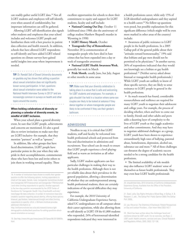can readily gather useful LGBT data.18 Not all LGBT students and employees will self-identify, even when assured of confidentiality, but important information can still be gathered.

Allowing LGBT self-identification also signals other students and employees that your school includes and welcomes LGBT people and familiarizes them with a best practice in patient data collection and health research. In addition, schools that have allowed LGBT respondents to self-identify and have added LGBT-related questions on climate surveys have gained useful insights into areas where improvement is needed.

**TIP:** Dr. Randall Sell of Drexel University documents on gaydata.org has shown that adding a question about sexual orientation does not significantly lessen survey participation. In fact, questions about sexual orientation were added to the National Health Interview Survey in 201319 and are increasingly common in surveys on health and other topics around the country.

#### **When holding celebrations of diversity or planning a calendar of diversity events, be mindful of LGBT inclusion.**

. . . . . . . . . . .

When your school plans a general diversity event, be sure that LGBT people, achievements and concerns are mentioned. It's also a good idea to review invitations to make sure they are LGBT-inclusive--for example, that they mention "partners" as well as "spouses."

In addition, like other groups that have faced discrimination, LGBT people have particular points in the year when they take pride in their accomplishments, commemorate those who have been lost and invite others to join them in working toward equality. These

http://williamsinstitute.law.ucla.edu/research/census-lgbtdemographics-studies/best-practices-for-asking-questions-aboutsexual-orientation-on-surveys/

19. See http://www.hhs.gov/news/press/2013pres/06/20130603a. html

excellent opportunities for schools to show their commitment to equity and support for LGBT students, faculty and staff include:

**• National Coming Out Day**, October 11 (celebrated since 1988; also the anniversary of college student Matthew Shepard's murder in Wyoming in 1998)

**• LGBT History Month**, October

**• Transgender Day of Remembrance**, November 20 (a commemoration of transgender people who have died in hate crimes that has been expanded into a day or week of transgender awareness)

**• National LGBT Health Awareness Week**, generally last week in March

**• Pride Month**, usually June, but July, August or other months in some areas

**TIP:** Make sure that your diversity celebration is taking place in a venue that is safe and welcoming for LGBT students and employees. For example, a gala shouldn't be held in a location where same-sex couples are likely to be looked at askance if they dance together or where transgender people are likely to be confronted if they use their gender's bathroom.

#### ADMISSIONS

Needless to say, it is critical that LGBT students, staff and faculty be welcomed into health professional schools and protected from bias and discrimination in admissions and recruitment. Your school can do much to ensure that LGBT people experience a level playingfield and as warm an invitation as all other applicants.

Sadly, LGBT student applicants can face particular challenges in making their way to the health professions. Although there is not yet reliable data about their prevalence in the general population, allowing a determination of whether they are underrepresented among health professional students, there are certainly indications of the special difficulties they may experience.

For example, the 2010 University of California Undergraduate Experience Survey, asked UC undergraduates on all campuses about their career aspirations, while also allowing them to self-identify as LGBT. Of the 61,800 students who responded, 24% of heterosexual-identified respondents indicated they were interested in

a health professions career, while only 15% of LGB-identified undergraduates said they aspired to a health career.<sup>20</sup> No follow-up questions were posed, but possible explanations for this significant difference (which might well be even more marked in other areas of the country) include:

• Awareness of public resistance to LGBT people in the health professions. In a 2005 Gallup poll of the general public about their "attitudes toward homosexuality," 19% said that lesbians and gay men should not be permitted to be physicians.<sup>21</sup> In another survey, 36% of respondents indicated that they would not knowingly see a lesbian or gay health professional.<sup>22</sup> (Neither survey asked about bisexual or transgender health professionals.) While LGBT youth are unlikely to know of these specific surveys, they are likely to sense resistance to LGBT people in general in the health professions.

• As much research has found, considerable resourcefulness and resilience are required for many LGBT youth to negotiate their adolescent and college years. For example, the process of deciding whether, when and how to come out to family, friends and other adults and peers adds a daunting layer of complexity to the lives of LGBT youth as they juggle academics and other commitments. And they may have to negotiate additional challenges: as a group, LGBT youth have been shown to experience extraordinarily high rates of bullying, parental abuse, homelessness, depression, alcohol use, substance use and more.<sup>23</sup> All of these challenges can threaten the degree of academic success needed to be a strong candidate for the health professions.

• The limited availability of role models may also influence LGBT students' sense of themselves as future health professionals. They may even hear LGBT health professionals

20. Unpublished data, 2010 University of California Undergraduate Experience Survey. Available from the Office of the President, University of California.

21. Saad, Lydia, Gay Rights Attitudes a Mixed Bag, in Gallup, A. & Newport, F., eds., The Gallup Poll: Public Opinion 2005 (The Gallup Poll: 2005).

22. Lee, Rita et al. The Dilemma of Disclosure: Patient Perspectives on Gay and Lesbian Providers. J Gen Intern Med 23(2):142 7

23. Much has been written about the challenges faced and resilience shown by LGBT youth. For an overview, see Ryan, C. LGBT youth: Health concerns, services and care. Clinical Research and Regulatory Affairs, 2003, 20(2): 137-158.

<sup>18.</sup> A number of institutions have chosen to modify their gender question to offer the following options, inviting respondents to check all that apply: female, male, transgender (sometimes divided into transgender MTF/transwoman and transgender FTM/transman ) and other (inviting respondents to specify). Another approach is the two-step question recommended by the UCSF Center of Excellence for Transgender Health: http://transhealth.ucsf.edu/ trans?page=lib-data-collection. A number of institutions have also created a question regarding sexual identity, offering these options: bisexual, gay/lesbian, heterosexual/straight and other (inviting respondents to specify). UCLA s Williams Institute provides additional information at: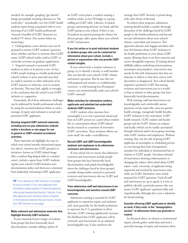mocked: for example, googling "gay dentist" brings up multiple mocking references to "the tooth fairy." Anecdotally, very few LGBT health students report being acquainted with or even knowing of an LGBT health professional- -beyond a handful of LGBT characters on medical TV shows. (See section below on mentoring.)

• Undergraduate career advisers may not be prepared to answer LGBT students' questions about whether and how to mention their LGBT status, LGBT-related studies and/or LGBT cocurricular activities on graduate applications.

• Targeted outreach to potential LGBT students in print or in person is rare. In fact, LGBT people looking at a health professional school's website or print materials may find no explicit mention or other indication of an LGBT presence or welcome, even in sections on diversity. This may lead, rightly or wrongly, to the conclusion that the school is not LGBTinclusive or -supportive.

Fortunately, all of these admissions challenges can be addressed by health professional schools by using the recommendations below to send a message of equity and inclusion to actual and potential LGBT applicants.

#### **Develop targeted LGBT outreach materials, including text on your admissions website and/or a brochure or one-pager for use in general or LGBT-oriented recruitment activities.**

These materials can highlight the ways in which your school extends institutional equity (see above), mention any LGBT group(s) or initiatives, feature an LGBT-related image (like a rainbow flag-draped table at a student event), include a quote from LGBT students, reprint your school's LGBT-inclusive nondiscrimination policy and showcase a statement from leadership welcoming LGBT applicants.

. . . . . . . . . . . . . . . . . . . .

**TIP**: If you develop an LGBT brochure or one-pager, be sure to include it if you send applicants and information-seekers packets of materials geared to other groups representing diversity. Likewise, if you offer applicants and interested others a checklist of informational materials they can receive, include your LGBT brochure or one-pager. . . . . . . . . . . . . . .

#### **Make outreach and admissions materials that highlight diversity LGBT-inclusive.**

If your materials feature images of students from groups that have historically faced discrimination, consider adding a photo of

an LGBT event poster, a student wearing a rainbow sticker on her ID badge or a group staffing an LGBT table. Likewise, if student groups representing diversity are listed, add the LGBT group at your school, if there is one. If students are quoted praising the climate for diverse groups, add a quote about your school's LGBT inclusiveness.

#### **If you list online or in print individual students or student groups who can be contacted for information about your school, include a person or organization who can provide LGBTrelated insights.**

If your school lacks a student volunteer or group, try to identify a faculty or staff member who can describe your school's LGBT climate and answer questions. But be sure they are well-prepared and sensitive to confidentiality concerns—a well-meaning but ill-prepared contact can unintentionally undo your school's LGBT outreach!

#### **Make activities for information-seekers, applicants and admitted-but-undecided students LGBT-inclusive.**

LGBT students often mention how meaningful it is to visit a potential school and hear an LGBT person on a panel about student life or a presentation about LGBT-related faculty research or a mention of innovative LGBT curriculum. These inclusion efforts can seem small, but make a real difference.

#### **Recruit LGBT and LGBT-knowledgeable students and employees to be admissions reviewers and interviewers.**

If your school tries to ensure that admission reviewers and interviewers include people from groups that have historically faced discrimination (and people knowledgeable about the challenges faced by these groups), consider doing similar outreach to potential reviewers and interviewers who are LGBT and LGBT-knowledgeable.

#### **Train admissions staff and interviewers to be knowledgeable and sensitive around LGBT concerns.**

Admissions training is essential for LGBT applicants to experience equity and inclusion and, more generally, for the health professions to represent the U.S. population in all its diversity. LGBT training significantly increases the likelihood that LGBT applicants will be reviewed--and interviewed--in an unbiased, knowledgeable way. It also reinforces the

message that LGBT diversity is prized along with other forms of diversity.

To achieve these purposes, admissions training should include a careful, thorough discussion of the challenges faced by LGBT people in the health professions and beyond, not just information about your school's climate, curriculum and resources. This approach educates and engages attendees who may feel hesitant about LGBT inclusion in the health professions or even about LGBT equity, allowing them to air their concerns and receive thoughtful responses. If training doesn't skillfully address underlying misconceptions, stereotypes and prejudices, interviewers may merely be left with information that they are reluctant to deliver or that they convey with discomfort or disapproval. Your school should respond to persistent LGBT bias among reviewers and interviewers just as it would to bias in relation to other groups that have historically faced discrimination.

With training, staff and interviewers can knowledgeably and comfortably answer questions on key topics like same-sex partner health coverage, transgender health benefits, LGBT inclusion in the curriculum, LGBT health research, LGBT student and faculty groups and the LGBT climate on campus and locally (which can be readily ascertained through informal and/or focus-group meetings with LGBT students and employees). Without training, they run the risk of giving LGBT applicants an incomplete or misleading picture or even having their lack of preparation mistaken for individual or institutional bias in relation to LGBT people. Anecdotes abound of interviewers showing embarrassment or changing the subject when asked about LGBT topics—and, conversely, of applicants being impressed and touched by interviewers who, while not LGBT themselves, were clearly prepared for LGBT questions. Until all staff and interviewers are up to speed, it is wise to publicly identify a particular person who can answer LGBT applicants' questions fully and empathetically, although this is not a substitute for broad training.

#### **Consider allowing LGBT applicants to identify as such, if they wish, in the "demographics section" of admissions forms you generate or control.**

As discussed above, in relation to institutional equity, schools gather useful data and send a powerful message of equity and inclusion when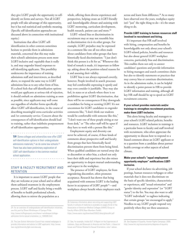they give LGBT people the opportunity to selfidentify on forms and surveys. Not all LGBT people will take advantage of this opportunity, but it has real statistical and symbolic meaning. (Specific self-identification approaches are discussed above in connection with institutional equity.)

Institutions that allow LGBT selfidentification in other contexts sometimes hesitate to provide them in admissions materials, concerned that this may make their school's admissions process seem more LGBT-inclusive and -equitable than it really is, and may engender biased responses to self-identifying applicants. This possibility underscores the importance of training admissions staff and interviewers, as described above, to respond the same way to LGBT admissions bias as to any other form of bias. If a school feels that self-identification options would put applicants at serious risk of rejection, it should embark on admissions training as soon as possible, since applicants may well come out regardless of whether forms specifically allow LGBT self-identification, in the course of describing meaningful extra-curricular activities and /or community service. Concern about the consequences of self-identification should lead to training, rather than indefinite postponement of self-identification opportunities.

**TIP:** Some colleges and universities now offer LGBT self-identification options in their undergraduate admissions materials, $24$  as do some law schools. $25$ There has also been preliminary exploration of LGBT self-identification in the common medical school application. . . . . . . . . . . .

#### STAFF & FACULTY RECRUITMENT AND **RETENTION**

It is important to assure LGBT people that they are welcome at your school and to afford them unbiased treatment in the employment process. LGBT staff and faculty bring a wealth of benefits to health professional schools, allowing them to mirror the population as a

whole, offering them diverse experiences and perspectives, helping create an LGBT-friendly and -knowledgeable climate and assisting with LGBT mentoring, curriculum development, health research, patient care and more.<sup>26</sup>

LGBT–related bias or discrimination in recruitment may or may not resemble bias or discrimination vis-à-vis other groups. For example, LGBT prejudice may be expressed in a comment like one all too often made about candidates from other groups that have historically faced discrimination: "I just don't think this person is a fit for us." Whenever this kind of remark is made, it's important to follow up, asking about the position-related reasons for it and assessing their validity.

LGBT bias is not always expressed covertly, however. People involved in search processes may feel comfortable expressing it openly and may even consider it justifiable. They may also feel, in states or at schools where there is no prohibition against LGBT discrimination, that there will be no consequences if they downgrade a candidate for being or seeming LGBT. It's not uncommon for LGBT candidates to engender comments like, "I don't think our students would be comfortable with someone like this," "I don't want one of these people sitting at our front desk," or "The other staff will be upset if they have to work with a person like this."

Employment equity and diversity can never be achieved, of course, if these kinds of comments about prospective staff and faculty from groups that have historically faced discrimination prevent them from being hired. When qualified candidates are turned away due to discomfort or other bias, a school not only loses their skills and experience but also misses an opportunity to deepen mutual understanding and respect in the workplace.

The presence of LGBT employees, far from engendering discomfort, often promotes acceptance. Research has shown that being acquainted with someone LGBT is the leading factor in acceptance of LGBT people<sup>27</sup>—and workplaces always benefit when employees reach across and learn from difference.<sup>28</sup> As so many have observed over the years, workplace equity isn't "just" the right thing to do—it's the smart thing to do.

#### **Provide LGBT training to human resources staff involved in recruitment and hiring.**

It's important that HR staff involved with hiring, compensation and benefits be knowledgeable not only about your school's LGBT-related policies, benefits and resources but also about general LGBT workplace concerns, particularly bias and discrimination. This enables them not only to answer candidates' questions and provide information to hiring managers and search committee chairs but also to identify statements or practices that may convey bias or constitute discrimination. As in the admissions realm, it can be helpful to identify a point-person in HR to provide LGBT information and training, although all key HR staff should be up to speed on LGBT recruitment concerns.

#### **If your school provides materials and/or trainings to strengthen recruitment practices, make them LGBT-inclusive.**

This alerts hiring faculty and managers to your school's LGBT-related policies, benefits and resources. LGBT inclusion in trainings is a particular boon to faculty and staff involved with recruitment, who often appreciate the opportunity to discuss how to respond to a biased comment about an LGBT applicant or to a question from a candidate about partner health coverage or other aspects of school climate.

#### **Make your school's "equal employment opportunity employer" notifications LGBTinclusive.**

If your school declares via advertising, job postings, human resources webpages or other materials that it does not discriminate on the basis of specific identities, characteristics or experiences, add "sexual orientation" and "gender identity and expression" (or "LGBT status") to the list. You may also want to add "LGBT individuals" to taglines indicating that certain groups "are encouraged to apply." Needless to say, LGBT people respond very positively when they see these assurances.

<sup>24.</sup> For an overview of undergraduate self-identification initiatives, see this post by Shane Windmeyer of Campus Pride: http://www.huffingtonpost.com/shane-l-windmeyer/collegeadmission-forms-sexual-orientation\_b\_1346593.html

<sup>25.</sup> The Law School Admission Council has created webpages to provide information and advice to LGBT applicants: http://www. lsac.org/jd/diversity/lgbt-overview.asp

<sup>26.</sup> Extensive information about recruiting and supporting LGBT faculty in schools of medicine is available on pages 25-32 of the Association of American Medical Colleges (AAMC) Group on Faculty Affairs (GFA) New Members Toolkit: https://www.aamc.org/download/53522/data/gfatoolkit.pdf

<sup>27.</sup> See, for example, Inside-OUT: A Report on the Experiences of Lesbians, Gays and Bisexuals in America and the Public s Views on Issues and Policies Related to Sexual Orientation, note 1 above.

<sup>28.</sup> See Degrees of Equality, Human Rights Campaign, 2009: http://www.hrc.org/resources/entry/degrees-of-equality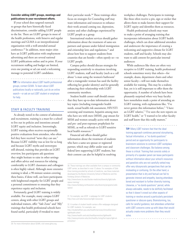#### **Consider adding LGBT groups, meetings and publications to your recruitment efforts.**

If your school does targeted outreach to groups that have historically faced discrimination, consider adding LGBT people to the list. There are LGBT groups in most of the health professions, with listservs and regular meetings and GLMA is an interprofessional organization with a well-attended annual conference.29 In addition, most major cities have an LGBT publication with employment advertising and there are several national LGBT publications online and in print. If your recruitment staffing and budget are limited, even one posting or ad can send a welcoming message to potential LGBT candidates.

**TIP:** For information about LGBT health professional groups, contact GLMA. To learn about LGBT publications locally or nationally, just do an online search—or ask an out LGBT student or employee for help. 

STAFF & FACULTY TRAINING

 $\begin{array}{cccccccccccccc} \bullet & \bullet & \bullet & \bullet & \bullet & \bullet & \bullet & \bullet \end{array}$ 

As already noted in the context of admission and recruitment, training is a must for a school to live out its policies and intentions around LGBT equity and inclusion. Interestingly, LGBT training often receives exceptionally positive evaluations from attendees, who often feel they have received "news they can use." Because LGBT visibility was so low for so long and because LGBT myths and stereotypes still abound, training that provides an LGBT overview, lets participants ask questions they might hesitate to raise in other settings and offers advice and resources for relating comfortably to LGBT classmates and colleagues is often highly valued. Although more extensive training is ideal, a 90-minute session covering these basics, if done well, can leave participants with heightened empathy for LGBT people and a personal commitment to ensuring that they experience equity and inclusion.

Fortunately, good LGBT training is widely available. For example, many campus LGBT centers, along with other LGBT groups and individual trainers, offer "Safe Zone" and "Ally" trainings that health professional schools have found useful, particularly if tweaked to meet

their particular needs.<sup>30</sup> These trainings often focus on strategies for Counseling staff may want information and resources to enhance their work around coming out, depression, anxiety and other challenges experienced by LGBT people as a group.

International student services should gather information about the treatment of same-sex partners and spouses under federal immigration and citizenship laws and regulations,<sup>31</sup> and about how best to support students from countries that are hostile—often openly so—to LGBT people.

Campus police should discuss strategies for responding sensitively to situations involving LGBT students, staff and faculty (such as a call about "a man using the women's bathroom" after a transgender woman has used the facility reflecting her gender identity) and for generally enhancing their relationship with LGBT community members.

Student health center staff should ensure that they have up-to-date information about key topics (including transgender health needs, sexual health risk assessment, HIV/STI screening and treatment, hepatitis among men who have sex with men (MSM), pap smears for MSM and women sexually active with women and pre- and post-exposure prophylaxis for MSM), as well as referrals to LGBT-sensitive local health resources.<sup>32</sup>

Financial aid offices should gather information about the treatment of students who have a same-sex spouse or registered partner, which may differ under state and federal laws supporting LGBT students, but their content can also be helpful in resolving

31. For example, see UCSF s webpage for LGBT students: http://isso.ucsf.edu/resources/lgbt-resources

32. A number of student health centers offer webpages designed for LGBT students. For example, see:

http://studentaffairs.psu.edu/health/services/clinicalServices/ lghtHealth shtml

http://www.health.umd.edu/healthpromotion/lgbthealth http://www.princeton.edu/uhs/healthy-living/hot-topics/lgbt-atprinceton/

workplace challenges. Participants in trainings like these often receive a pin, sign or sticker that allows them to make known their support for LGBT equity and identifies them as resources.

Health professional schools may want to make a point of arranging training that incorporates information about LGBT health challenges, which can draw additional attendees and underscore the importance of creating a welcoming and supportive climate for LGBT students, staff and faculty. Schools may also want to add content for particular internal audiences:

While audiences like these are often very receptive to LGBT training, health professional schools sometimes worry that others—for example, deans, department chairs and other senior faculty—will not make themselves available for training. This may be a realistic fear, yet it is still important to offer them the opportunity. A number of schools have been pleasantly surprised when very busy faculty have nonetheless made a point of attending an LGBT training, with explanations like, "I've never gotten this information before," "I have an LGBT relative," "I've seen the new reports on LGBT health," or "I wanted to let other faculty and staff know that this really matters."

**TIP:** Many LGBT trainers feel that the ideal training approach combines personal storysharing, factual information, a "no dumb questions" period and an opportunity for participants to brainstorm solutions to common LGBT workplace and classroom challenges. But balance among these is critical. Training that consists solely or primarily of a speaker panel can leave participants without information about your school's resources and panelists who are not carefully vetted may offer very idiosyncratic perspectives that can be misleading or confusing. On the other hand, a presentation that is dry and factual can fail to generate interest and empathy, leaving attendees bored and resistant to further diversity training. Likewise, a "no dumb questions" period, while always advisable, needs to be skillfully facilitated so that it doesn't crowd out other aspects of training or revolve around a particularly persistent questioner or obscure query. Brainstorming, too, calls for careful guidance, lest attendees unfamiliar with LGBT concerns come up with ideas that would actually create more problems than they would solve. 

<sup>30.</sup> These trainings are often available from a campus or community LGBT center, as described in note 12 above. For examples of Safe Zone training provided by schools of medicine, see these materials developed by the Boston University School of Medicine and the Feinberg School of Medicine:

http://www.bumc.bu.edu/facdev-medicine/diversity/lgbt/safespace-training/

http://www.feinberg.northwestern.edu/diversity/programs/safespace/

<sup>29.</sup> For more information about GLMA, visit www.glma.org.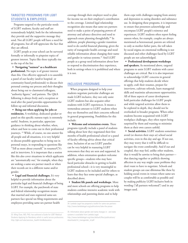#### TARGETED PROGRAMS FOR LGBT STUDENTS & EMPLOYEES

Programs targeted to the particular needs of LGBT students, faculty and staff are tremendously helpful, both for the information they provide and the supportive message they send. Not all LGBT people will have a need for all programs, but all will appreciate the fact that they are offered.

LGBT people at your school can be surveyed formally or informally to pinpoint topics of greatest interest. Topics like these typically rise to the top of the list:

**• Navigating "outness" as a healthcare professional.** No topic is of greater interest than this. One effective approach is to assemble a panel of out faculty (and/or hospital- or community-based professionals) to discuss their personal coming out process and their thoughts about being out to classmates/colleagues, "authority figures," and patients. The Q&A following is always lively and a reception or meal after the panel provides opportunities for follow-up and informal discussion.

**• Being out when applying for jobs or residencies.** A workshop, dedicated speaker or panel on this specific outness topic is extremely useful. Students, in particular, appreciate guidance in thinking about whether, when, where and how to come out in their professional journeys. 33 While, of course, no one answer fits all people and all situations, it is very helpful to discuss possible approaches to being out in personal essays, in responding to questions like "Tell us more about yourself," in resumes/CVs and in interviews. It is important that a session like this also cover situations in which applicants are "automatically out," for example, when they are seeking a same-sex partner match or when their records are in a different name and/or gender.

**• Legal and financial challenges.** It's very helpful to provide information about the particular legal and financial challenges of being LGBT. For example, the patchwork of state and federal relationship recognition means that married and state-registered same-sex partners face special tax filing requirements and employees providing same-sex partner health

coverage through their employer need to plan for income tax on their employer's contribution to the coverage. Limited legal relationship recognition also means that same-sex partners need to make a point of preparing powers of attorney and advance directives and need to approach estate planning thoughtfully.<sup>34</sup> In addition, people planning a gender transition need to do careful financial planning, given the rarity of transgender health coverage and need reliable information about changing their name and gender in various systems.<sup>35</sup> And LGBT people as a group need information about how to respond to discrimination they experience, both in settings where it is prohibited and where it is not.

#### INCLUSIVE PROGRAMS

When programs designed to help your students negotiate particular challenges are made LGBT-inclusive, they not only assist LGBT students but also acquaint other students with LGBT experiences. It means a tremendous amount to LGBT students when they see themselves and their concerns reflected in general programming. Possibilities for this include:

**• Welcome and orientation events.** These programs typically include a panel of students talking about how they negotiated their first months of health professional school or a panel of faculty offering advice about that critical time. Inclusion of an out LGBT panelist can be very helpful in reassuring LGBT newcomers that they are seen and supported. In addition, when orientation speakers welcome specific groups—students who may have faced particular obstacles in getting to health professional school—it is very meaningful to LGBT students to be included and for others to learn that they face some special challenges, as described above.

**• Student life panels and workshops**. More and more schools are offering programs to help students combine intensive academic work with relationships and parenting duties and to help

them cope with challenges ranging from anxiety and depression to eating disorders and substance use. In designing these programs, it is important to ensure that presenters acknowledge and encompass LGBT people's existence and experiences. LGBT students often report feeling unseen when, for example, couples are always mentioned as heterosexual, parents are referred to only as mother-father pairs, the toll taken by social stigma on emotional wellbeing is not discussed and other challenges faced by LGBT people are not acknowledged.

**• Professional development workshops and speakers.** As mentioned above, targeted programs to assist LGBT students with career challenges are critical. But it is also important to acknowledge LGBT concerns in general offerings that help students decide where to apply, craft their resumes, prepare for interviews, cultivate referrals, learn managerial skills and maximize advancement opportunities. All of these aspects of career development hold particular challenges for LGBT people and while targeted activities allow them to be explored in depth, they should not be overlooked in broader programs. When other students become acquainted with LGBT workplace challenges, they often report being surprised by them and wanting to minimize them as their own careers unfold.

**• Social activities.** LGBT students sometimes avoid (or shorten their stays at) school social activities, even in this day and age. If not out, they may worry that it will be difficult to navigate the event comfortably. And if out and coupled, they may feel, unlike other students, that it would be unwise to bring their partner that dancing together or publicly showing affection in any way might cause problems they don't want to have to negotiate. Schools and student groups can ease dilemmas like these by holding social events in venues where same-sex couples will be as comfortable as possible and by making publicity LGBT-inclusive both in wording ("all partners welcomed") and in any images used.

<sup>33.</sup> Ming Chan, MD, PhD, has authored a Guide for LGBT Medical Students Applying for Residency which is useful across professions: http://lgbt.ucsf.edu/services\_health.html#education

<sup>34.</sup> Lambda Legal has prepared a toolkit for same-sex partners: http://www.lambdalegal.org/publications/take-the-power

<sup>35.</sup> Information about gender and name changes in - and state systems is available from Lambda Legal: http://www.lambdalegal.org/sites/default/files/publications/ downloads/trt\_transgender\_id.pdf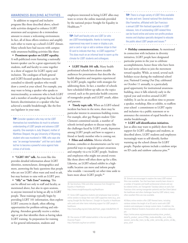#### AWARENESS-BUILDING ACTIVITIES

In addition to targeted and inclusive programs like those described above, schoolwide activities designed to enhance LGBT awareness and acceptance do a tremendous amount to ensure a welcoming environment. In fact, all of these efforts reinforce and amplify each other to warm up a school's LGBT climate. Many schools have had success with campuswide awareness-building activities like these:

**• Prominent speaker on LGBT equality.** A well-publicized event featuring a nationally known speaker can be a great opportunity for students, staff and faculty to come together in a show of support for LGBT equity and inclusion. The catalogues of both general and LGBT-focused speakers bureaus can be consulted to identify speakers who would draw a crowd at your school. For example, you may want to bring a speaker who speaks to intersectionality, as someone who is both LGBT and a member of another group that has faced historic discrimination or a speaker who has achieved a notable breakthrough, like the first out legislator in your state.

. . . . . . . . . .

**TIP:** Consider speakers who may not be LGBT themselves but nonetheless do much to enhance understanding of LGBT people and advance LGBT equality. One example is Judy Shepard, mother of Matthew Shepard, the gay University of Wyoming student who was murdered in 1998, who says she was "an average homemaker" until her son's death led her to become a powerful voice against hate crimes of all kinds.

**• "LGBT 101" talk.** An event like this provides detailed information about LGBT identities, nomenclature, demographics and more, answering the basic questions that people who are not LGBT often want and need to ask, but may hesitate to raise with an LGBT peer.

**• "Ally" or "Safe Zone" training.** This can be offered not only to staff and faculty, as mentioned above, but also in open sessions, to anyone interested in being an ally to LGBT people. These trainings typically begin by providing LGBT 101 information, then explore LGBT concerns in depth, often offering opportunities for problem-solving and roleplaying. Attendees generally receive a sticker, sign or pin that identifies them as having taken LGBT training. As preparation for training or for general information, students and

employees interested in being LGBT allies may want to review the online materials provided by the national project Straight for Equality in Healthcare.<sup>36</sup>

**TIP:** Staff and faculty who are LGBT (or who are LGBT-knowledgeable, thanks to training and experience) may want to wear or display a pin, post a card or sign or add a rainbow stripe to their ID card to indicate that they re LGBT-supportive.<sup>37</sup> This does much on an informal level to warm up the climate for LGBT students and colleagues. . . . . . . . . . . . . . . . . . .

**• LGBT Health 101 talk.** Many health professional schools have drawn sizeable audiences for presentations that describe the health disparities and inequities experienced by LGBT people, together with strategies for addressing them. In fact, a number of schools have scheduled follow-up talks on the topics covered, such as the particular health concerns of transgender people and LGBT youth, elders and parents.

**• Timely topic talk.** When an LGBT-related incident has been in the news, there may be particular interest in awareness-building events. For example, after gay Rutgers student Tyler Clementi committed suicide, a number of schools invited speakers to discuss topics like the challenges faced by LGBT youth, depression among LGBT people and how to support a friend or family member who is coming out.

**• Films and exhibits.** Movies whether dramas, comedies or documentaries can be very powerful ways to engender greater awareness and empathy vis-a-vis LGBT people. Students and employees who might not attend events like those above will often show up for a film. Likewise, an LGBT-related exhibit in a hightraffic location can move and inform people who wouldn t necessarily set other time aside to learn more about LGBT people.<sup>38</sup>

http://www.pflag.org/zen/index.php?main\_page=index&cPath=10

38. One source of LGBT-related exhibits is the non-profit Family Diversity Project:

http://familydiv.org/host-an-exhibit/

**TIP:** There is a huge variety of LGBT films available for sale and rent. Several national film distributors (like Frameline, affiliated with San Francisco s annual LGBT film festival) specialize in LGBT releases, lists of outstanding LGBT-related films can be found online and some non-profits produce movies and displays specially designed to educate the public about LGBT people and issues. $39$ 

**• Holiday commemorations.** As mentioned in connection with inclusion in diversity initiatives, LGBT people have designated particular points in the year to celebrate accomplishments, honor those who have been lost and invite others to join the movement toward equality. While, as noted, several such holidays occur during the traditional school year, National Coming Out Day, celebrated on October 11 annually, is a particularly good opportunity for institutional awarenessbuilding, since it falls relatively early in the typical year and revolves around LGBT visibility. It can be an excellent time to present a speaker, workshop, film or exhibit, to reaffirm your school s commitment to LGBT equity and inclusion via a public statement or to announce the extension of equal benefits or a similar breakthrough.

**• LGBT self-identification initiatives.** Just as allies may want to publicly show their support for LGBT colleagues and students, as described above, LGBT students and employees increasingly want to self-identify, further warming up the school climate for LGBT people. Popular options include a rainbow stripe on ID cards and rainbow caduceus pins.<sup>40</sup>

39. Schools are encouraged to explore the many LGBT-related films now available. Two that have been recently been shown in a number of hospitals and health professional schools and can be ordered online, are Transgender Tuesdays (about an early San Francisco clinic serving transgender patients) and Gen Silent (about the healthcare and other challenges faced by LGBT elders); many other excellent films are now available.

40.Many online vendors offer LGBT-themed items, including rainbow stickers the length of an ID card or work with LGBT students and employees to design custom items. In addition, the American Medical Students Association sells a rainbow caduceus pin:

<sup>36.</sup> See brochure, FAQs and other resources from Straight for Equality in Healthcare:

http://www.straightforequality.org/Healthcare

<sup>37.</sup> Some LGBT-supportive students and employees have turned to online vendors to design their own LGBT-supportive items (e.g., pins saying Straight But Not Narrow ). Straight for Equality in Healthcare sells cards and other items indicating support for LGBT people in healthcare:

https://online.amsa.org/amsassa/ecssashop.show\_product\_ detail?p\_product\_serno=275&p\_mode=detail&p\_cust\_id=&p\_ session\_serno=&p\_trans\_ty=&p\_order\_serno=&p\_promo\_cd=&p\_ price\_cd=#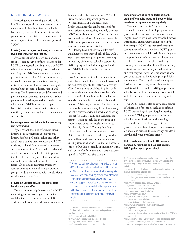#### MENTORING & NETWORKING

Mentoring and networking are critical for LGBT students, staff and faculty to maximize their success in health professional schools. Fortunately, there is a host of ways in which your school can facilitate the connections that are so important for professional and personal support.

#### **Create (or encourage creation of) a listserv for LGBT students, staff and faculty.**

If your school offers listservs for particular groups, it can be very helpful to create one for LGBT students, staff and faculty, so that LGBTrelated information is widely distributed and signaling that LGBT concerns are an accepted part of institutional life. A listserv ensures that, as people come and go, there is an ongoing, institutional means of information-sharing that is available at the same address, year in and year out. The listserv can be used for event and position announcements, updates about school policies and practices, subscriber queries about school- and LGBT health-related topics, etc. Potential subscribers can be invited via word of mouth, flyers and existing lists for students, staff and faculty.

#### **Encourage use of social media for mentoring and networking.**

If your school does not offer institutional listservs or to supplement an institutional listserv, Facebook, Google, Yahoo and other social media can be used to ensure that LGBT students, staff and faculty are well-connected and stay abreast of LGBT-related activities and developments at your school. Is it important that LGBT-related pages and lists created by a school s students, staff or faculty be treated identically to similar resources created by campus community members vis-a-vis other groups, needs and concerns, with no additional requirements or scrutiny.

#### **Provide an Out List of LGBT students, staff, faculty and alumni/ae.**

There is no more helpful resource for LGBT mentoring and networking than a readily available Out List of your school s LGBT students, staff, faculty and alums, since it can be difficult to identify them otherwise.<sup>41</sup> An Out List serves several important purposes:

• Identifying LGBT students, staff, faculty and alums who can be contacted for information and mentoring, not only by other LGBT people but also by staff and faculty who may be seeking information about a particular LGBT topic, panelists for an event, lecturers for a course or mentors for a student;

• Allowing LGBT students, faculty, staff and alums to come out publicly, if they wish a process that can have great personal meaning; • Making visible your school s support for LGBT equity and inclusion in general and for LGBT individuals within the campus community.

An Out List is most useful in online form, particularly when linked to email addresses and can be hosted by a student affairs or diversity office. It can also be published in print, with copies made widely available to student affairs and HR staff, although print lists are harder to update and involve more time, labor and expense. Publishing an online Out List in print periodically, however, is very helpful in making the list s existence widely known and showing support for LGBT equity and inclusion; for example, it can be included in the issue of a school s newspaper or newsletter closest to October 11, National Coming Out Day.

Like potential listserv subscribers, potential Out List members can be reached by word of mouth, flyers and email announcements via existing lists and channels. No matter how big a school s Out List is initially or ongoingly, it is a vital source of information and a very welcome sign of an LGBT-inclusive climate.

. . . . . . . . . . . . . . . . . . . .

**TIP:** Your school may also want to provide a list of LGBT allies for students and others seeking support. An Ally List can draw on those who have completed an Ally or Safe Zone training or who have otherwise accumulated demonstrated knowledge of LGBT concerns, support strategies and key resources. It s recommended that an Ally List be separate from an Out List, to avoid confusion and because of the significance of the coming out process for LGBT people.

41. At this writing, examples of online Out Lists at health professional schools include these (many undergraduate campuses also offer Out Lists): http://lgbt.ucsf.edu/out\_outlist.html

. . . . .

http://www.bumc.bu.edu/oma/out\_and\_ally\_list/ https://lgbt.hms.harvard.edu/outlist.html http://queersandalliesuic.wordpress.com/out-list/

#### **Encourage formation of an LGBT student, staff and/or faculty group and meet with its members or representatives regularly.**

Needless to say, an LGBT group is an invaluable resource for LGBT people at health professional schools and for that very reason may form on its own. At some schools, however, institutional encouragement may be helpful. For example, LGBT students, staff or faculty can be asked whether there is an LGBT group and how the school might assist in creating one or supporting an existing one. It is important that LGBT groups or people considering forming them, know that they will not face any institutional barriers or heightened scrutiny and that they will have the same access as other groups to resources like funding and publicity mechanisms. They may also need some special institutional assistance, especially when first established; for example, LGBT groups at some schools may need help reserving a room which will offer privacy to members who may not be out.

An LGBT group is also an invaluable source of information for schools seeking to offer an LGBT-welcoming climate. Regular meetings with your LGBT group can ensure that your school is aware of existing and emerging needs and concerns, allowing you to be proactive around LGBT equity and inclusion. Connections made in these meetings can also be very helpful when problems arise.<sup>42</sup>

#### **Hold a welcome event for LGBT campus community members and support ongoing LGBT gatherings at your school.**

<sup>42.</sup> A number of health professional schools primarily schools of medicine and dentistry have LGBT groups with websites and Facebook pages. They can be readily found online; examples include: http://www.dent.umich.edu/academicaffairs/dental-lesbian-gaybisexual-transgender-alliance-lgbta http://dental.tufts.edu/about/student-gateway/studentorganizations/gay-lesbian-bisexual-transgender-and-allies-studentorganization-glbta/ https://www.facebook.com/PennLGBTQAlliance https://www.facebook.com/GSDAUCSF http://www.med.unc.edu/qsa/about-qsa https://medschool.vanderbilt.edu/gsa/ http://lgbthealth.wustl.edu/ http://www.bumc.bu.edu/facdev-medicine/diversity/lgbt/ http://www.med.upenn.edu/lgbt/ http://medstation.yale.edu/gsma/www/ http://www.ucdmc.ucdavis.edu/diversity/lgbt2.html https://lgbt.hms.harvard.edu/ http://lgbtpm.uchicago.edu/ http://www.hopkinsmedicine.org/som/students/diversity/LGBT%20 Resources.html http://weill.cornell.edu/diversity/communities/lgbt-communities/ http://school.med.nyu.edu/student-resources/diversity-affairs/ professional-development/student-life/lesbian-gay-bisexual-and-t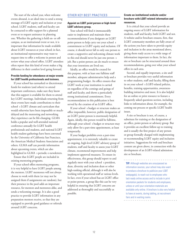The start of the school year, when welcome events abound, is an ideal time to send a strong message of LGBT equity and inclusion at your school. LGBT students, staff and faculty can be contacted to offer support for a planned event or to request assistance in planning one. Whether the gathering is held on- or offcampus, as an institutional event or not, it is important that information be made available about LGBT resources at your school; in fact, an institutional representative may want to request time to offer a welcome in person and review what your school offers. LGBT attendees often report that this kind of event makes a big difference in their comfort level going forward.

#### **Provide funding for attendance at major events for LGBT health professionals and trainees.**

If your school has earmarked or discretionary funds for students (and others) to attend important conferences, make sure they know that this support is available for them to attend key LGBT meetings. Individuals returning from these events have made contributions to their school s LGBT climate and curriculum that would otherwise have been impossible or muchdelayed and the mentoring and networking they experience can be life-changing. GLMA holds a popular and well-attended national conference annually for LGBT health professionals and students, and national LGBT health student gatherings have been convened by the University of California San Francisco, the American Medical Students Association and others. GLMA staff can provide information about upcoming events, which are also highlighted in GLMA s periodic e-newsletters.

Ensure that LGBT people are included in existing mentoring programs.

If your school offers mentoring programs, it is very helpful to have LGBT people among the mentors. LGBT mentorees will not always choose to work with them (or may not be assigned them if assignments are random), but their presence in the pool adds an important resource, for mentors and mentorees alike, and sends a welcoming message. It is also a good practice to provide LGBT information in any preparation mentors receive, so that they are equipped to provide good guidance or referrals around LGBT concerns.

#### OTHER KEY BEST PRACTICES

#### **Appoint an LGBT point person or high-level LGBT advisory group.**

Your school will find it immeasurably easier to implement and maintain these recommendations if you designate an LGBT point-person to help carry out your school s commitment to LGBT equity and inclusion. Of course, it should never fall to only one person to create a supportive and welcoming climate work to this end should never be just one person s job. But a point-person can do much to ensure that your intentions are lived out.

Ideally, an office would be created for this purpose, with at least one fulltime staff member, adequate administrative help and a programming budget. An office ensures that LGBT work at your institution is carried on regardless of the comings and goings of staff and faculty, and shows a particularly strong institutional commitment. Every recommendation in this publication is best served by the creation of an LGBT office.

If your school s budget or structure makes an office impossible, however, public designation of an LGBT point-person is enormously helpful. Again, ideally, this person would be fulltime, although your school s budget or structure may only allow for a part-time appointment, at least temporarily.

If your budget prohibits even a part-time appointment, it is extremely valuable to create an ongoing, high-level LGBT advisory group of students, staff and faculty to assess your LGBT climate, recommend improvements and help implement approved measures. To ensure its effectiveness, this group should report to and regularly meet with your school s president, dean, diversity and inclusion dean or other high-ranking official, although it will also be working with operational staff at various levels. In fact, even if your school has an LGBT office or point-person, a group like this can be very helpful in ensuring that LGBT concerns are addressed as thoroughly and successfully as possible.

#### **Create an institutional website and/or brochure with LGBT-related information and resources.**

It is critical that your school provide an ongoing source of LGBT information for students, staff and faculty, both LGBT and not. A website and/or brochure ensures, first, that LGBT community members are fully aware of the actions you have taken to provide equity and inclusion in the areas mentioned above, giving them ready access to a wide range of information important to them. In fact, the site or brochure can be structured around these recommendations, going over what your school offers in each area.

Second, and equally important, a site and/ or brochure provides very useful information to other students, staff and faculty, filling them in on your school s LGBT-related policies, benefits, training opportunities, awarenessbuilding initiatives and more. It is also helpful for an online or print resource to feature a frequently asked questions section, including links to information about, for example, the coming out process or specific LGBT health issues.

A site or brochure is not, of course, a substitute for training or the designation of an office, point-person or advisory group. But it provides an excellent follow-up to training and is usually the first project of any person or group formally charged with implementing or recommending LGBT equity and inclusion initiatives. Suggestions for web and brochure content are given above, in connection with the development of an LGBT-related admissions site or brochure.

**TIP:** Although websites are unsurpassed as information sources, your school may also want to produce a brochure to publicize your LGBT webpage(s), to reach out to employees who lack ready online access and to include in print orientation packets for students and employees, unless or until your orientation materials are available only online. A brochure is also very helpful to have at events, during tabling, at recruitment fairs and in waiting rooms.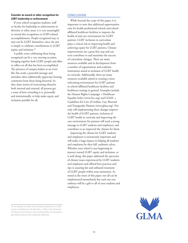#### **Consider an award or other recognition for LGBT leadership or achievement.**

If your school recognizes students, staff or faculty for leadership or achievements in diversity or other areas, it is very meaningful to extend this recognition to LGBT-related accomplishments. People recognized may or may not be LGBT themselves, since the aim is simply to celebrate contributions to LGBT equity and inclusion.<sup>43</sup>

A public event celebrating those being recognized can be a very moving occasion, bringing together both LGBT people and allies to reflect on all that has been accomplished. The presence of campus leaders at an event like this sends a powerful message and attendees often additionally appreciate hearing comments from those being honored. As they share stories of overcoming obstacles both internal and external, all present get a sense of how rewarding it is, personally and institutionally, to help make equity and inclusion possible for all.

#### CONCLUSION

While beyond the scope of this paper, it is important to note that additional opportunities exist for health professional schools and schoolaffiliated healthcare facilities to improve the health of and care environment for LGBT patients. LGBT inclusion in curriculum plays a critical role in improving health and achieving equity for LGBT patients. Climate improvements are a great first step and can even contribute to and maximize the success of curriculum changes. There are many resources available and in development from a number of organizations and academic institutions aimed at inclusion of LGBT health in curricula. Additionally, there are many resources available aimed at creating a more welcoming environment for LGBT patients in school-affiliated healthcare facilities and healthcare settings in general. Examples include the Human Rights Campaign s Healthcare Equality Index (www.hrc.org) and GLMA s Guidelines for Care of Lesbian, Gay, Bisexual and Transgender Patients (www.glma.org). Not only will implementing these changes improve the health of LGBT patients, inclusion of LGBT health in curricula and improving the care environment for patients will send a strong message to LGBT students and employees, and contribute to an improved the climate for them.

Improving the climate for LGBT students and employees is enormously important and will make a huge impact in helping all students and employees be their full, authentic selves. Whether your school is just beginning its journey toward LGBT equity and inclusion, or is well along, this paper addressed the spectrum of climate issues experienced by LGBT students and employees and offered best practices and tips to assuring fair and unbiased treatment of LGBT people within your institution. As noted at the onset of this paper, not all can be implemented immediately but each one you embrace will be a gift to all of your students and employees.



<sup>43.</sup> An example of criteria and nomination processes for an LGBT award is available from the Chancellor s Office at the University of California San Francisco: http://ucsfchancellor.ucsf.edu/awardgay-lesbian-bisexual-and-transgender-leadership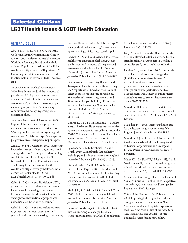### Selected Citations. **LGBT Health Issues & LGBT Health Education**

#### GENERAL ISSUES

Alper J, M.N. Feit, and J.Q. Sanders. 2012. Collecting Sexual Orientation and Gender Identity Data in Electronic Health Records: Workshop Summary. Board on the Health of Select Populations, Institute of Medicine. Available at http://iom.edu/Reports/2012/ Collecting-Sexual-Orientation-and-Gender-Identity-Data-in-Electronic-Health-Records. aspx

AMA (American Medical Association). 2010. Health care needs of the homosexual population. AMA policy regarding sexual orientation. Available at http://www.amaassn.org/ama/pub/ about-ama/our-people/ member-groups-sections/glbt-advisorycommittee/ama-policy- regarding-sexualorientation.shtml.

American Psychological Association. 2009. Report of the task force on appropriate therapeutic responses to sexual orientation. Washington, DC: American Psychological Association. Available at http://www.apa.org/ pi/lgbt/resources/therapeutic-response.pdf.

Ard K.L. and H.J. Makadon. 2012. Improving he Health Care of Lesbian, Gay, Bisexual and Transgender (LGBT) People: Understanding and Eliminating Health Disparities. The National LGBT Health Education Center, The Fenway Institute, Fenway Health. Available at http://www.lgbthealtheducation. org/wp-content/uploads/12-054\_ LGBTHealtharticle\_v3\_07-09-12.pdf

Cahill S., C. Grasso, and H. Makadon. Why gather data on sexual orientation and gender identity in clincal settings. The Fenway Institute, Fenway Health. Available at http:// www.lgbthealtheducation.org/wp-content/ uploads/policy\_brief\_why\_gather.pdf

Cahill S., C. Grasso, and H. Makadon. How to gather data on sexual orientation and gender identity in clinical settings. The Fenway

Institute, Fenway Health. Available at http:// www.lgbthealtheducation.org/wp-content/ uploads/policy\_brief\_how\_to\_gather.pdf

Cochran S. D., and V. M. Mays. 2007. Physical health complaints among lesbians, gay men, and bisexual and homosexually experienced heterosexual individuals: Results from the California Quality of Life Survey. American Journal of Public Health. 97(11): 2048-2055.

Committee on Lesbian, Gay, Bisexual, and Transgender Health Issues and Research Gaps and Opportunities; Board on the Health of Select Populations; Institute of Medicine. The Health of Lesbian, Gay, Bisexual, and Transgender People: Building a Foundation for Better Understanding. Washington, DC: Institute of Medicine; 2011. Available at http://www.nap.edu/catalog.php?record\_ id=13128.

Conron K. J., M. J. Mimiaga, and S. J. Landers. 2008. A health profile of Massachusetts adults by sexual orientation identity: Results from the 2001-2006 Behavioral Risk Factor Surveillance System Surveys. November. Report for Massachusetts Department of Public Health.

Egleston, B. L., R. L. Dunbrack, Jr., and M. J. Hall. 2010. Clinical trials that explicitly exclude gay and lesbian patients. New England Journal of Medicine. 362(11):1054–1055.

Gay and Lesbian Medical Association and LGBT Health Experts. 2001. Healthy People 2010 Companion Document for Lesbian, Gay, Bisexual, and Transgender (LGBT) Health. San Francisco, CA: Gay and Lesbian Medical Association.

Heck, J. E., R. L. Sell, and S.S. Sheinfeld-Gorin. 2006. Health care access among individuals involved in same-sex relationships. American Journal of Public Health. 96, 1111–1118.

Johnson CV, Mimiaga MJ, Bradford J. Health care issues among lesbian, gay, bisexual, transgender and intersex (LGBTI) populations in the United States: Introduction. 2008. J Homosex. 54(3):213-24.

King, M., and I. Nazareth. 2006. The health of people classified as lesbian, gay and bisexual attending family practitioners in London: a controlled study. BMC Public Health. 6:127.

Landers, S. J., and G. Paola. 2009. The health of lesbian, gay, bisexual and transgender (LGBT) persons in Massachusetts: A survey of health issues comparing LGBT persons with their heterosexual and nontransgender counterparts. Boston, MA: Massachusetts Department of Public Health. Available at http://archives.lib.state.ma.us/ handle/2452/112258.

Makadon HJ. Ending LGBT invisibility in health care: the first step in ensuring equitable care. Cleve Clin J Med. 2011 Apr;78(4):220-4. Review.

Makadon, H. J. 2006. Improving health care for the lesbian and gay communities. New England Journal of Medicine. 354:895-7.

Makadon H. J., K. H. Mayer, J. Potter, and H. Goldhammer, eds. 2008. The Fenway Guide to Lesbian, Gay, Bisexual, and Transgender Health. Philadelphia, American College of Physicians.

Mayer KM, Bradford JB, Makadon HJ, Stall R, Goldhammer H, Landers S. Sexual and gender minority health: what do we know and what needs to be done? AJPH. 2008;98:989-995.

Meyer I and Northridge M, eds. The Health Of Sexual Minorities – Public Health Perspectives On Lesbian, Gay, Bisexual And Transgender Populations. 2007. Springer.

Office of the New York City Public Advocate. 2008. Improving lesbian, gay, bisexual and transgender access to healthcare at New York City health and hospitals corporation facilities. New York: Office of the New York City Public Advocate. Available at http:// publicadvocategotbaum.com/policy/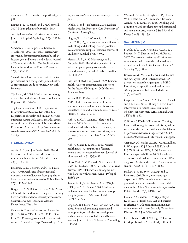documents/LGBThealthrecsreportfinal\_pdf. pdf.

Ragins, B. R., R. Singh, and J. M. Cornwell. 2007. Making the invisible visible: Fear

and disclosure of sexual orientation at work. Journal of Applied Psychology. 92(4):1103– 1118.

Sanchez, J. P., S. Hailpern, C. Lowe, and Y. Calderon. 2007. Factors associated with emergency department utilization by urban lesbian, gay, and bisexual individuals. Journal of Community Health: The Publication for Health Promotion and Disease Prevention. 32(2):149–156.

Shankle, M. 2006. The handbook of lesbian, gay, bisexual, and transgender public health: A practitioner's guide to service. New York: Haworth.

Tjepkema, M. 2008. Health care use among gay, lesbian, and bisexual Canadians. Health Reports. 19(1):54–64.

Top Health Issues for LGBT Populations Information & Resource Kit. 2012. U.S. Department of Health and Human Services Substance Abuse and Mental Health Services Administration Center for Substance Abuse Prevention. Available at http://store.samhsa. gov/shin/content//SMA12-4684/SMA12- 4684.pdf

#### LESBIANS/WSW

Austin, E. L., and J. A. Irwin. 2010. Health behaviors and health care utilization of southern lesbians. Women's Health Issues. 20(3):178–184.

Boehmer, U., D. J. Bowen, and G. R. Bauer. 2007. Overweight and obesity in sexualminority women: Evidence from populationbased data. American Journal of Public Health. 97(6): 1134–1140.

Burgard S. A., S. D. Cochran, and V. M. Mays. 2005. Alcohol and tobacco use patterns among heterosexually and homosexually experienced California women. Drug and Alcohol Dependence. 77:61-70.

Centers for Disease Control and Prevention (CDC). 2006. CDC HIV/AIDS Fact Sheet: HIV/AIDS among women who have sex with women. Available at: http://www.cdc.gov/hiv/ topics/women/resources/factsheets/pdf/wsw. pdf.

Dibble, S., and P. Robertson. 2010. Lesbian Health 101. San Francisco, CA: University of California Nursing Press.

Hughes, T. L., S. C. Wilsnack, L. A. Szalacha, et al. (2006). Age and racial/ethnic differences in drinking and drinking- related problems in a community sample of lesbians. Journal of Studies on Alcohol. 67:579-590.

Herrick, A. L., A. K. Matthews, and R. Garofalo. 2010. Health risk behaviors in an urban sample of young women who have sex with women. Journal of Lesbian Studies. 14(1):80–92.

Institute of Medicine (IOM). 1999. Lesbian health: Current assessment and directions for the future. Washington, DC: National Academy Press.

Kerker, B. D., F. Mostashari, and L. Thorpe. 2006. Health care access and utilization among women who have sex with women: Sexual behavior and identity. Journal of Urban Health. 83(5):970–979.

Koh, A. S., C. A. Gomez, S. Shade, and E. Rowley. 2005. Sexual risk factors among self-identified lesbians, bisexual women, and heterosexual women accessing primary care settings. J Am Sex Trans Dis Assn. 32: 563- 569.

Koh, A. S., and L. K. Ross. 2006. Mental health issues: A comparison of lesbian, bisexual and heterosexual women. Journal of Homosexuality. 51(1):33–57.

Pinto, V.M., M.V. Tancredi, N.A. Tancredi, and C.M. Buchalla. 2005. Sexually transmitted disease/HIV risk behaviour among women who have sex with women. AIDS. 19(suppl 4):S64-69.

Seaver, M. R., K. M. Freund, L. M. Wright, J. Tjia, and S. M. Frayne. 2008. Healthcare preferences among lesbians: A focus group analysis. Journal of Women's Health. 17(2):215–225.

Singh, A., B. J. Dew, D. G. Hays, and A. Gailis. 2006. Relationships among internalized homophobia, sexual identity development, and coping resources of lesbian and bisexual women. Journal of LGBT Issues in Counseling 1:15–31.

Wilsnack, S. C., T. L. Hughes, T. P. Johnson, W. B. Bostwick, L. A. Szalacha, P. Benson, F. Aranda, K. E. Kinnison. 2008. Drinking and drinking-related problems among heterosexual and sexual minority women. J Stud Alcohol Drugs. Jan;69:129-139.

#### GAY MEN/MSM

Bianchi, F. T., C. A. Reisen, M. C. Zea, P. J. Poppen, M. G. Shedlin, and M. M. Penha. 2007. The sexual experiences of Latino men who have sex with men who migrated to a gay epicentre in the USA. Culture, Health & Sexuality. 9(5):505–518.

Bowen, A. M., M. L. Williams, C. M. Daniel, and S. Clayton. 2008. Internet based HIV prevention research targeting rural MSM: Feasibility, acceptability, and preliminary efficacy. Journal of Behavioral Medicine. 31(6):463–477.

Carpenter, K., S. Stoner, A. Mikko, L. Dhanak, and J. Parsons. 2010. Efficacy of a web-based intervention to reduce sexual risk in men who have sex with men. AIDS and Behavior. 14(3):549–557.

California STD/HIV Prevention Training Center. 2006. A guide to sexual history taking with men who have sex with men. Available at: http://www.stdhivtraining.net/pdf/SS\_02\_ MSM%20Sexual%20History%20Taking.pdf.

Crepaz, N., G. Marks, A. Liau, M. M. Mullins, L. W. Aupont, K. J. Marshall, E. D. Jacobs, R. J. Wolitski, and HIV/AIDS Prevention Research Synthesis Team. 2009. Prevalence of unprotected anal intercourse among HIVdiagnosed MSM in the United States: A metaanalysis. AIDS. 23(13):1617–1629.

Hall, H. I., R. H. Byers, Q. Ling, and L. Espinoza. 2007. Racial/ethnic and age disparities in HIV prevalence and disease progression among men who have sex with men in the United States. American Journal of Public Health. 97(6):1060–1066.

Fessler, D, Makadon HJ, Mitty, J, Mayer, K. The 2010 Health Care Act and barriers to effective health promotion among men who have sex with men. Sexually Transmitted Diseases. 2012 Jun; 39(6):449-52.

Hatzenbuehler ML, O'Cleirigh C, Grasso C, Mayer K, Safren S, Bradford J. Effect of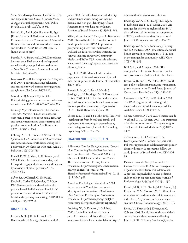Same-Sex Marriage Laws on Health Care Use and Expenditures in Sexual Minority Men: A Quasi-Natural Experiment. Am.J Public Health. 2012 Feb;102(2):285-91.

Herrick AL, Stall R, Goldhammer H, Egan JE, and Mayer KH. Resilience as a Research Framework and as a Cornerstone of Prevention Research for Gay and Bisexual Men: Theory and Evidence. AIDS Behav. 2013 Jan 16. [Epub ahead of print]

Pathela, P., A. Hajat, et al. 2006. Discordance between sexual behavior and self-reported sexual identity: a population-based survey of New York City men. Annals of Internal Medicine. 145: 416-25.

Kaminski, P. L., B. D. Chapman, S. D. Haynes, et al. 2005. Body image, eating behaviors, and attitudes toward exercise among gay and straight men. Eat Behav. 6:179-187.

Makadon HJ, Mayer KH, Garofalo R. Optimizing primary care for men who have sex with men. JAMA. 2006;296:2362-2365.

Mimiaga MJ, Goldhammer H, Belanoff C, Tetu AM, Mayer KH. Men who have sex with men: perceptions about sexual risk, HIV and sexually transmitted disease testing, and provider communication. Sex Transm Dis. 2007 Feb;34(2):113-9.

O'Leary, A., H. H. Fisher, D. W. Purcell, P. S. Spikes, and C. A. Gomez. 2007. Correlates of risk patterns and race/ethnicity among HIVpositive men who have sex with men. AIDS & Behavior. 11(5):706-715.

Purcell, D. W., S. Moss, R. H. Remien, et al. 2005. Illicit substance use, sexual risk, and HIV-positive gay and bisexual men: differences by serostatus of casual partners. AIDS. 19:S37-S47.

Safren SA, O'Cleirigh C, Skeer MR, Driskell J, Goshe BM, Covahey C, Mayer KH. Demonstration and evaluation of a peer-delivered, individually-tailored, HIV prevention intervention for HIV-infected MSM in the primary care setting. AIDS Behav. 2010 Jul;15(5):949-58.

#### BISEXUALS

Harawa, N. T., J. K. Williams, H. C. Ramamurthi, C. Manago, S. Avina, and M. Jones. 2008. Sexual behavior, sexual identity, and substance abuse among low-income bisexual and non-gay-identifying African American men who have sex with men. Archives of Sexual Behavior. 37(5):748–762.

Miller, M., A. André, J. Ebin, and L. Bessonova. 2007. Bisexual health: An introduction and model practices for HIV/STI prevention programming. New York: National Gay and Lesbian Task Force Policy Institute, the Fenway Institute at Fenway Community Health, and BiNet USA. Available at http:// www.thetaskforce.org/reports\_and\_research/ bisexual\_health.

Page, E. H. 2004. Mental health services experiences of bisexual women and bisexual men: An empirical study. Journal of Bisexuality. 4:137–160.

Saewyc, E. M., C. L. Skay, P. Hynds, S. Pettingell, L. H. Bearinger, M. D. Resnick, and E. Reis. 2007. Suicidal ideation and attempts in North American school-based surveys: Are bisexual youth at increasing risk? Journal of LGBT Health Research. 3(2):25–36.

Sheets, R. L., Jr., and J. J. Mohr. 2009. Perceived social support from friends and family and psychosocial functioning in bisexual young adult college students. Journal of Counseling Psychology. 56(1):152–163.

#### TRANSGENDER INDIVIDUALS

Affirmative Care for Transgender and Gender Non-Conforming People: Best Practices for Front-line Health Care Staff. 2013. The National LGBT Health Education Center, The Fenway Institute, Fenway Health. Available at http://www.lgbthealtheducation. org/wp-content/uploads/13-017\_ TransBestPracticesforFrontlineStaff\_v6\_02-19- 13\_FINAL.pdf

American Psychological Association. 2009. Report of the APA task force on gender identity and gender variance. Washington, DC: American Psychological Association. Available at http://www.apa.org/pi/lgbt/ resources/policy/gender-identity-report.pdf.

Bockting, W., G. Knudson, J. Goldberg. 2006. Counselling and mental health care of transgender adults and loved ones. Vancouver Coastal Health. Available at http:// transhealth.vch.ca/resources/library/.

Bockting, W. O., C. Y. Huang, H. Ding, B. B. Robinson, and B. R. S. Rosser. 2005. Are transgender persons at higher risk for HIV than other sexual minorities? A comparison of HIV prevalence and risks. International Journal of Transgenderism. 8(2):123–131.

Bockting, W. O., B. E. Robinson, J. Forberg, and K. Scheltema. 2005. Evaluation of a sexual health approach to reducing HIV/STD risk in the transgender community. AIDS Care. 17(3):289–303.

Brill, S. A., and A. Pepper. 2008. The transgender child: A handbook for families and professionals. Berkeley, CA: Cleis Press.

Brown, G. R., and E. McDuffie. 2009. Health care policies addressing transgender inmates in prison systems in the United States. Journal of Correctional Health Care. 15(4):280–291.

Cohen-Kettenis, P. T., and F. Pfafflin. 2010. The DSM diagnostic criteria for gender identity disorder in adolescents and adults. Arch Sex Behav. 39(2):499-513.

Cohen-Kettenis, P. T., H. A. Delemarre-van de Waal, and L. J. G. Gooren. 2008. The treatment of adolescent transsexuals: Changing insights. The Journal of Sexual Medicine. 5(8):1892– 1897.

de Vries, A. L., T. D. Steensma, T. A. Doreleijers, and P. T. Cohen-Kettenis. 2011. Puberty suppression in adolescents with gender identity disorder: A prospective follow-up study. Journal of Sexual Medicine. 8(8):2276- 83.

Delemarre-van de Waal, H. A., and P. T. Cohen-Kettenis. 2006. Clinical management of gender identity disorder in adolescents: A protocol on psychological and pediatric endocrinology aspects. European Journal of Endocrinology. 155(Suppl. 1):S131–137.

Elamin, M. B., M. Z. Garcia, M. H. Murad, P. J. Erwin, and V. M. Montori. 2010. Effect of sex steroid use on cardiovascular risk in transsexual individuals: A systematic review and metaanalyses. Clinical Endocrinology 72(1):1–10.

Erich, S., J. Tittsworth, J. Dykes, and C. Cabuses. 2008. Family relationships and their correla-tions with transsexual well-being. Journal of GLBT Family Studies. 4(4):419–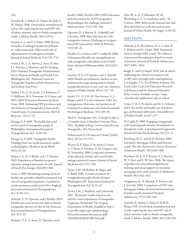#### 432.

Garofalo R., J. Deleon, E. Osmer, M. Doll, G. W. Harper. 2006. Overlooked, misunderstood and at-risk: exploring the lives and HIV risk of ethnic minority male-to-female transgender youth. J Adolesc Health. 38(3):230-6.

Gooren, L. J., and E. J. Giltay. 2008. Review of studies of androgen treatment of femaleto- male transsexuals: Effects and risks of administration of androgens to females. Journal of Sexual Medicine. 5(4):765–776.

Grant, J. M., L. A. Mottet, J. Tanis, D. Min, J. L. Herman, J. Harrison, and M. Keisling. 2010. National Transgender Discrimination Survey Report on Health and Health Care. Washington, DC: National Center for Transgender Equality and the National Gay and Lesbian Task Force.

Herbst, J. H., E. D. Jacobs, T. J. Finlayson, V. S. McKleroy, M. S. Neumann, N. Crepaz, and HIV/AIDS Prevention Research Synthesis Team. 2008. Estimating HIV prevalence and risk behaviors of transgender persons in the United States: A systematic review. AIDS & Behavior. 12(1):1–17.

Kenagy, G. P. 2005. The health and social service needs of transgender people in Philadelphia. International Journal of Transgenderism. 8(2–3):49–56.

Kenagy, G. P. 2005. Transgender health: Findings from two needs assessment studies in Philadelphia. Health & Social Work. 30(1):19–26.

Koken, J. A., D. S. Bimbi, and J. T. Parsons. 2009. Experiences of familial acceptancerejection among transwomen of color. Journal of Family Psychology. 23(6):853–860.

Lurie, S. 2005. Identifying training needs of health-care providers related to treatment and care of transgendered patients: A qualitative needs assessment conducted in New England. International Journal of Transgenderism. 8(2–3):93–112.

Nemoto, T., D. Operario, and J. Keatley. 2005. Health and social services for male-to-female transgender persons of color in San Francisco. International Journal of Transgenderism.  $8(2-3):5-19.$ 

Nemoto, T., L. A. Sausa, D. Operario, and J.

Keatley. 2006. Need for HIV/AIDS education and intervention for MTF transgenders: Responding to the challenge. Journal of Homosexuality. 51(1):183–202.

Operario, D., J. Burton, K. Underhill, and J. Sevelius. 2008. Men who have sex with transgender women: Challenges to categorybased HIV prevention. AIDS & Behavior. 12(1):18–26.

Rachlin, K., J. Green, and E. Lombardi. 2008. Utilization of health care among female-tomale transgender individuals in the United States. Journal of Homosexuality. 54(3):243– 258.

Sanchez, N. F., J. P. Sanchez, and A. Danoff. 2009. Health care utilization, barriers to care, and hormone usage among male-to-female transgender persons in new york city. American Journal of Public Health. 99(4):713–719.

Smith, Y. L. S., S. H. M. Van Goozen, A. J. Kuiper, and P. T. Cohen-Kettenis. 2005. Sex reassignment: Outcomes and predictors of treatment for adolescent and adult transsexuals. Psychological Medicine. 35(1):89–99.

Teich N. Transgender 101: A Simple Guide to a Complex Issue. Columbia University Press, 2012. Available at http://www.nickteich.com/ Transgender\_101/Home.html

Dohwenrend A. Of what am I afraid? JAMA. 2012; 307(4):371-372.

Weyers, S., E. Elaut, P. De Sutter, J. Gerris, G. T'Sjoen, G. Heylens, G. De Cuypere, and H. Verstraelen. 2009. Long-term assessment of the physical, mental, and sexual health among transsexual women. Journal of Sexual Medicine. 6(3):752–760.

Xavier, J. M., M. Bobbin, B. Singer, and E. Budd. 2005. A needs assessment of transgendered people of color living in Washington, DC. International Journal of Transgenderism. 8(2/3):31–47.

Xavier, J. M., J. Bradford, and J. Honnold. 2007. The health, health-related needs, and life-course experiences of transgender Virginians. Richmond, VA: Virginia Department of Health. Avaiable at http:// www.vdh.virginia.gov/epidemiology/ DiseasePrevention/documents/pdf/ THISFINALREPORTVol1.pdf.

Zule, W. A., G. V. Bobashev, W. M. Wechsberg, E. C. Costenbader, and C. M. Coomes. 2009. Behaviorally bisexual men and their risk behaviors with men and women. Journal of Urban Health. 86 (Suppl. 1):48–62.

#### LGBT YOUTH

Almeida, J., R. M. Johnson, H. L. Corliss, B. E. Molnar, and D. Azrael. 2009. Emotional distress among LGBT youth: The influence of perceived discrimination based on sexual orientation. Journal of Youth & Adolescence. 38(7):1001–1014.

Biegel, S., and S. J. Kuehl. 2010. Safe at school: Addressing the school environment and LGBT safety through policy and legislation. Los Angeles, CA: The Williams Institute, The Great Lakes Center for Education Research and Practice, and the National Education Policy Center. Available at http://nepc. colorado.edu/publication/safe-at-school.

Coker, T. R., S. B. Austin, and M. A. Schuster. 2010. The health and health care of lesbian, gay, and bisexual adolescents. Annual Review of Public Health. 31:457–477.

Di Ceglie, D. 2009. Engaging young people with atypical gender identity development in therapeutic work: A developmental approach. Journal of Child Psychotherapy. 35(1):3–12.

Eisenberg, M. E., and M. D. Resnick. 2006. Suicidality among gay, lesbian and bisexual youth: The role of protective factors. Journal of Adolescent Health. 39(5):662–668.

Friedman, M. S., G. F. Koeske, A. J. Silvestre, W. S. Korr, and E. W. Sites. 2006. The impact of gender-role nonconforming behavior, bullying, and social support on suicidality among gay male youth. Journal of Adolescent Health. 38(5):621–623.

Gangamma, R., N. Slesnick, P. Toviessi, and J. Serovich. 2008. Comparison of HIV risks among gay, lesbian, bisexual and heterosexual homeless youth. Journal of Youth & Adolescence. 37(4):456–464.

Garofalo R, Deleon J, Osmer E, Doll M, Harper GW. Overlooked, misunderstood and at-risk: exploring the lives and HIV risk of ethnic minority male-to-female transgender youth. J Adolesc Health. 2006; 38(3):230-236.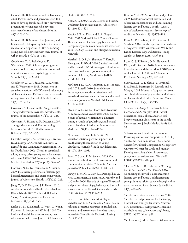Garofalo, R., B. Mustanski, and G. Donenberg. 2008. Parents know and parents matter: Is it time to develop family-based HIV prevention programs for young men who have sex with men? Journal of Adolescent Health. 43(2):201–204.

Garofalo, R., B. Mustanski, A. Johnson, and E. Emerson. 2010. Exploring factors that underlie racial/ethnic disparities in HIV risk among young men who have sex with men. Journal of Urban Health. 87(2):318–323.

Goodenow, C., L. Szalacha, and K. Westheimer. 2006. School support groups, other school factors, and the safety of sexual minority adolescents. Psychology in the Schools. 43(5): 573–589.

Goodenow, C., L. A. Szalacha, L. E. Robin, and K. Westheimer. 2008. Dimensions of sexual orientation and HIV-related risk among adolescent females: Evidence from a statewide survey. American Journal of Public Health. 98(6):1051–1058.

Grossman, A. H., and A. R. D'Augelli. 2006. Transgender youth: Invisible and vulnerable. Journal of Homosexuality. 51(1):111–128.

Grossman, A. H., and A. R. D'Augelli. 2007. Transgender youth and life-threatening behaviors. Suicide & Life-Threatening Behavior. 37(5):527–537.

Guenther-Grey, C. A., S. Varnell, J. I. Weiser, R. M. Mathy, L. O'Donnell, A. Stueve, G. Remafedi, and Community Intervention Trial for Youth Study. 2005. Trends in sexual risktaking among urban young men who have sex with men, 1999–2002. Journal of the National Medical Association. 97(Suppl. 7):S38–S43.

Hoffman, N. D., K. Freeman, and S. Swann. 2009. Healthcare preferences of lesbian, gay, bisexual, transgender and questioning youth. Journal of Adolescent Health. 45(3):222–229.

Jiang, Y., D. K. Perry, and J. E. Hesser. 2010. Adolescent suicide and health risk behaviors: Rhode Island's 2007 Youth Risk Behavior Survey. American Journal of Preventive Medicine. 38(5):551–555.

Kipke, M. D., K. Kubicek, G. Weiss, C. Wong, D. Lopez, E. Iverson, and W. Ford. 2007. The health and health behaviors of young men who have sex with men. Journal of Adolescent Health. 40(4):342–350.

Kitts, R. L. 2005. Gay adolescents and suicide: Understanding the association. Adolescence. 40(159):621–628.

Kosciw, J. G., A. Diaz, and E. A. Greytak. 2008. 2007 National School Climate Survey: The experiences of lesbian, gay, bisexual and transgender youth in our nation's schools. New York: The Gay, Lesbian and Straight Education Network.

Marshall, B. D. L., K. Shannon, T. Kerr, R. Zhang, and E. Wood. 2010. Survival sex work and increased HIV risk among sexual minority street-involved youth. Journal of Acquired Immune Deficiency Syndromes: JAIDS. 53(5):661–664.

McGuire, J. K., C. R. Anderson, R. B. Toomey, and S. T. Russell. 2010. School climate for transgender youth: A mixed method investigation of student experiences and school responses. Journal of Youth & Adolescence. 39:1175–1188.

Meckler, G. D., M. N. Elliott, D. E. Kanouse, K. P. Beals, and M. A. Schuster. 2006. Nondisclosure of sexual orientation to a physician among a sample of gay, lesbian, and bisexual youth. Archives of Pediatrics & Adolescent Medicine. 160(12):1248–1254.

Needham, B. L., and E. L. Austin. 2010. Sexual orientation, parental support, and health during the transition to young adulthood. Journal of Youth & Adolescence. 39(10):1189–1198.

Poon, C. S., and E. M. Saewyc. 2009. Out yonder: Sexual-minority adolescents in rural communities in British Columbia. American Journal of Public Health 99(1):118–124.

Saewyc, E. M., C. L. Skay, S. L. Pettingell, E. A. Reis, L. Bearinger, M. Resnick, A. Murphy, and L. Combs. 2006. Hazards of stigma: The sexual and physical abuse of gay, lesbian, and bisexual adolescents in the United States and Canada. Child Welfare. 85(2):195–213.

Rew, L., T. A. Whittaker, M. A. Taylor-Seehafer, and L. R. Smith. 2005. Sexual health risks and protective resources in gay, lesbian, bisexual, and heterosexual homeless youth. Journal for Specialists in Pediatric Nursing.  $10(1):11-19.$ 

Rosario, M., E. W. Schrimshaw, and J. Hunter. 2009. Disclosure of sexual orientation and subsequent substance use and abuse among lesbian, gay, and bisexual youths: Critical role of disclosure reactions. Psychology of Addictive Behaviors. 23(1):175–184.

Ryan, C., D. Huebner, R. M. Diaz, and J. Sanchez. 2009. Family Rejection as a Predictor of Negative Health Outcomes in White and Latino Lesbian, Gay, and Bisexual Young Adults. Pediatrics. 123(1):346-352.

Ryan, C., S. T. Russell, D. M. Huebner, R. Diaz, and J. Sanchez. 2010. Family acceptance in adolescence and the health of LGBT young adults. Journal of Child and Adolescent Psychiatric Nursing. 23(4):205–213.

Saewyc, E. M., C. L. Skay, S. L. Pettingell, E. A. Reis, L. Bearinger, M. Resnick, and A. Murphy. 2006. Hazards of stigma: the sexual and physical abuse of gay, lesbian, and bisexual adolescents in the United States and Canada. Child Welfare. 85(2):195-213.

Saewyc, E., C. Skay, K. Richens, E. Reis, C. Poon, and A. Murphy. 2006. Sexual orientation, sexual abuse, and HIV-risk behaviors among adolescents in the Pacific Northwest. Am J Public Health. 96(6):1104- 10.

Self-Assessment Checklist for Personnel Providing Services and Supports to LGBTQ Youth and Their Families. 2012. National Center for Cultural Competence, Georgetown University Center for Child and Human Development. Available at http://nccc. georgetown.edu/documents/Final%20 LGBTQ%20Checklist.pdf

Silenzio, V. M., P. R. Duberstein, W. Tang, N. Lu, X. Tu, and C. M. Homan. 2009. Connecting the invisible dots: Reaching lesbian, gay, and bisexual adolescents and young adults at risk for suicide through online social networks. Social Science & Medicine. 69(3):469–474.

Suicide Prevention Resource Center. 2008. Suicide risk and prevention for lesbian, gay, bisexual, and transgender youth. Newton, MA: Education Development Center, Inc. Available at http://www.sprc.org/library/ SPRC\_LGBT\_Youth.pdf.

Van Leeuwen, J. M., S. Boyle, S. Salomonsen-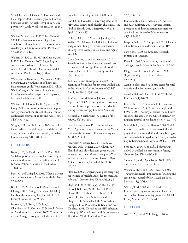Sautel, D. Baker, J. Garcia, A. Hoffman, and C. J. Hopfer. 2006. Lesbian, gay, and bisexual homeless youth: An eight-city public health perspective. Child Welfare Journal. 85(2):151– 170.

Wallien, M. S. C., and P. T. Cohen-Kettenis. 2008. Psychosexual outcome of genderdysphoric children. Journal of the American Academy of Child & Adolescent Psychiatry. 47(12):1413–1423.

Wallien, M. S. C., S. H. M. Van Goozen, and P. T. Cohen-Kettenis. 2007. Physiological correlates of anxiety in children with gender identity disorder. European Child & Adolescent Psychiatry. 16(5):309–315.

Wilbur, S., C. Ryan, and J. Marksamer. 2006. Serving LGBT youth in out-of-home care: Best practices guide. Washington, DC: Child Welfare League of America. Available at http://www.lsc-sf.org/wp-content/uploads/ bestpracticeslgbtyouth.pdf.

Williams, T., J. Connolly, D. Pepler, and W. Craig. 2005. Peer victimization, social support, and psychosocial adjustment of sexual minority adolescents. Journal of Youth and Adolescence. 34(5):471–482.

Wright, E. R., and B. L. Perry. 2006. Sexual identity distress, social support, and the health of gay, lesbian, and bisexual youth. Journal of Homosexuality. 51(1):81–110.

#### LGBT ELDERS

Barker, J. C., G. Herdt, and B. de Vries. 2006. Social support in the lives of lesbians and gay men at midlife and later. Sexuality Research & Social Policy: A Journal of the NSRC.  $3(2):1-23.$ 

Bent, K., and J. Magilvy. 2006. When a partner dies: lesbian widows. Issues Ment Health Nurs. 27:447-59.

Blank, T. O., M. Asencio, L. Descartes, and J. Griggs. 2009. Aging, health, and GLBTQ family and community life. Journal of GLBT Family Studies. 5(1–2):9–34.

Brotman, S., B. Ryan, S. Collins, L. Chamberland, R. Cormier, D. Julien, E. Meyer, A. Peterkin, and B. Richard. 2007. Coming out to care: Caregivers of gay and lesbian seniors in

Canada. Gerontologist. 47(4):490–503.

Cahill S, and Valadéz R. Growing older with HIV/AIDS: new public health challenges. Am J Public Health. 2013 Mar;103(3):e7-e15. Epub 2013 Jan 17.

Cohen, H. L., L. C. Curry, D. Jenkins, C. A. Walker, M. O. Hogstel. 2008. Older lesbians and gay men: Long-term care issues. Annals of Long-Term Care: Clinical Care and Aging. 16:33-8.

Cook-Daniels, L., and M. Munson. 2010. Sexual violence, elder abuse, and sexuality of transgender adults, age 50+: Results of three surveys. Journal of GLBT Family Studies. 6(2):142–177.

de Vries, B., and D. Megathlin. 2009. The meaning of friendship for gay men and lesbians in the second half of life. Journal of GLBT Family Studies. 5(1):82–98.

de Vries, B., A. M. Mason, J. Quam, and Aquaviva. 2009. State recognition of same-sex relationships and preparations for end of life among lesbian and gay boomers. Sexuality

Research & Social Policy: A Journal of the NSRC. 6(1):90–101.

Fredriksen-Goldsen, K. I., and A. Muraco. 2010. Aging and sexual orientation: A 25-year review of the literature. Research on Aging. 32(3):372–413.

Fredriksen-Goldsen, K. I., H. J. Kim, A. Muraco, and S. Mincer. 2009. Chronically ill midlife and older lesbians, gay men, and bisexuals and their informal caregivers: The impact of the social context. Sexuality Research & Social Policy: A Journal of the NSRC. 6(4):52–64.

Hash K. 2006. Caregiving and post-caregiving experiences of midlife and older gay men and lesbians. J Gerontol Soc Work. 47:121-38.

High, K. P., R. B. Effros, C. V. Fletcher, K. Gebo, J. B. Halter, W. R. Hazzard, F. M. Horne, R. E. Huebner, E. N. Janoff, A. C. Justice, D. Kuritzkes, S. G. Nayfield, S. F. Plaeger, K. E. Schmader, J. R. Ashworth, C. Campanelli, C. P. Clayton, B. Rada, and N. F. Woolard. 2008. Workshop on HIV infection and aging: What is known and future research directions. Clinical Infectious Diseases.

#### 47(4):542–553.

Johnson, M. J., N. C. Jackson, J. K. Arnette, and S. D. Koffman. 2005. Gay and lesbian perceptions of discrimination in retirement care facilities. Journal of Homosexuality 49(2):83–102.

Karpiak, S. E., R. A. Shippy, and M. H. Cantor. 2006. Research on older adults with HIV.

New York: AIDS Community Research Initiative of America.

Kean, R. 2006. Understanding the lives of older gay people. Nurs Older People. 18:31-6.

King, S., and H. Dabelko-Schoeny. 2009. "Quite frankly, I have doubts about remaining":

Aging-in-place and health care access for rural midlife and older lesbian, gay, and bi-

sexual individuals. Journal of LGBT Health Research. 5(1):10–21.

Lindau, S. T., L. P. Schumm, E. O. Laumann, W. Levinson, C. A. O'Muircheartaigh, and L. J. Waite. 2007. A study of sexuality and health among older adults in the United States. New England Journal of Medicine 357(8):762–774.

Masini, B. E., and H. A. Barrett. 2008. Social support as a predictor of psychological and physical well-being and lifestyle in lesbian, gay, and bisexual adults aged 50 and over. Journal of Gay & Lesbian Social Services. 20(1):91–110.

Schope, R. 2005. Who's afraid of growing old? Gay and lesbian perceptions of aging. J Gerontol Soc Work. 45:23-38.

Simone, M, and J. Appelbaum. 2008. HIV in older adults. Geriatrics. 63:6-12.

Williams, M. E., and P. A. Freeman. 2005. Transgender health: Implications for aging and caregiving. Journal of Gay & Lesbian Social Services. 18(3/4):93–108.

Witten, T. M. 2009. Graceful exits: Intersection of aging, transgender identities, and the family/community. Journal of GLBT Family Studies. 5(1/2):35–61.

#### LGBT FAMILIES

Ash, M. A., and M. V. L. Badgett. 2006.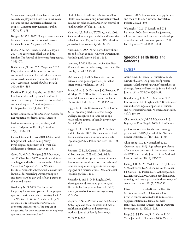Separate and unequal: The effect of unequal access to employment-based health insurance on same-sex and unmarried different-sex couples. Contemporary Economic Policy. 24(4):582–599.

Badgett, M. V. L. 2007. Unequal taxes on equal benefits: The taxation of domestic partner benefits. Echelon Magazine. 22–22.

Black, D. A., S. G. Sanders, and L. J. Taylor. 2007. The economics of lesbian and gay families. The Journal of Economic Perspectives. 21:53–70.

Buchmueller, T., and C. S. Carpenter. 2010. Disparities in health insurance coverage, access, and outcomes for individuals in samesex versus different-sex relationships, 2000– 2007. American Journal of Public Health. 100(3):489–495.

DeMino, K. A., G. Appleby, and D. Fisk. 2007. Lesbian mothers with planned families: A comparative study of internalized homophobia and social support. American Journal of Orthopsychiatry. 77(1):165–173.

Ethics Committee of the American Society for Reproductive Medicine. 2009. Access to

fertility treatment by gays, lesbians, and unmarried persons. Fertility & Sterility. 92(4):1190–1193.

Gartrell, N., and H. Bos. 2010. US National Longitudinal Lesbian Family Study: Psychological adjustment of 17-year-old adolescents. Pediatrics. 726(1):28–36.

Gates, G., M. V. L. Badgett, J. E. Macomber, and K. Chambers. 2007. Adoption and foster care by gay and lesbian parents in the United States. Los Angeles, CA: The Williams Institute. Available at http://williamsinstitute. law.ucla.edu/research/parenting/adoptionand-foster-care-by-gay-and-lesbian-parents-inthe-united-states/.

Goldberg, N. G. 2009. The impact of inequality for same-sex partners in employersponsored retirement plans. Los Angeles, CA: The Williams Institute. Available at http:// williamsinstitute.law.ucla.edu/research/ economic-impact-reports/the-impact-ofinequalities-for-same-sex-partners-in-employersponsored-retirement-plans/.

Heck, J. E., R. L. Sell, and S. S. Gorin. 2006. Health care access among individuals involved in same-sex relationships. American Journal of Public Health 96(6):1111–1118.

Klausner, J., L. Pollack, W. Wong, et al. 2006. Same-sex domestic partnerships and lower risk behaviors for STDs, including HIV infection. Journal of Homosexuality. 51:137-43.

Kurdek, L.A. 2005. What do we know about gay and lesbian couples? Current Directions in Psychological Science. 14:251-254.

Lambert, S. 2005. Gay and lesbian families: What we know and where to go from here. The Family Journal. 13:43-51.

McClennen, J.C. 2005. Domestic violence between same-gender partners. Journal of Interpersonal Violence. 149-154.

Ponce, N. A., S. D. Cochran, J. C. Pizer, and V. M. Mays. 2010. The effects of unequal access to health insurance for same-sex couples in California. Health Affairs. 29(8):1539-48.

Riggle, E. D., S. S. Rostosky, and S. G. Horne. 2010. Psychological distress, well-being, and legal recognition in same-sex couple relationships. Journal of Family Psychology 24(1):82–86.

Riggle, E. D., S. S. Rostosky, R. A. Prather, and R. Hamrin. 2005. The execution of legal documents by sexual minority individuals. Psychology, Public Policy, and Law 11(1):138– 163.

Roisman, G. I. , E. Clausell, A. Holland, K. Fortuna, and C. Elieff. 2008. Adult romantic relationships as contexts of human development: a multimethod comparison of same-sex couples with opposite-sex dating, engaged, and married dyads. Developmental Psychology, 44:91-101.

Rostosky, S., and E. D. B. Riggle. 2009. Marriage amendments and psychological distress in lesbian, gay and bisexual (LGB) adults. Journal of Counseling Psychology. 56:56-66.

Shapiro, D. N., C. Peterson, and A. J. Stewart. 2009. Legal and social contexts and mental health among lesbian and heterosexual mothers. Journal of Family Psychology.

23(2):255–262.

Tasker, F. 2005. Lesbian mothers, gay fathers, and their children: A review. J Dev Behav Pediatr. 26:224- 240.

Wainright, J. L., S. T. Russell, and C. J. Patterson. 2004. Psychosocial adjustment, school outcomes, and romantic relationships of adolescents with same-sex parents. Child Development. 75(6):1886–1898.

### **Specific Health Risks and Concerns**

#### **CANCER**

Asencio, M., T. Blank, L. Descartes, and A. Crawford. 2009. The prospect of prostate cancer: A challenge for gay men's sexualities as they age. Sexuality Research & Social Policy: A Journal of the NSRC 6(4):38–51.

Brandenburg, D.L., A. K. Matthews, T. P. Johnson, and T. L. Hughes. 2007. Breast cancer risk and screening: a comparison of lesbian and heterosexual women. Women and Health. 45(4): 109-30.

Chaturvedi, A. K., M. M. Madeleine, R. J. Biggar, and E. A. Engels. 2009. Risk of human

papillomavirus-associated cancers among persons with AIDS. Journal of the National Cancer Institute. 101(16):1120–1130.

Chin-Hong, P.V., E. Vittinghoff, R. D. Cranston, et al. 2005. Age-related prevalence of anal cancer precursors in homosexual men: the EXPLORE study. Journal of the National Cancer Institute. 97(12):896-905.

Daling, J. R., M. M. Madeleine, L. G. Johnson, S. M. Schwartz, K. A. Shera, M. A. Wurscher, J. J. Carter, P. L. Porter, D. A. Galloway, and J. K. McDougall. 2004. Human papillomavirus, smoking, and sexual practices in the etiology of anal cancer. Cancer. 101(2):270–280.

Dizon, D. S., T. Tejada-Berges, S. Koelliker, M. Steinhoff, and C. O. Granai. 2006. Ovarian cancer associated with testosterone supplementation in a female-to-male transsexual patient. Gynecologic & Obstetric Investigation. 62(4):226–228.

Hage, J. J., J. J. Dekker, R. B. Karim, R. H. Verheijen, and E. Bloemena. 2000. Ovarian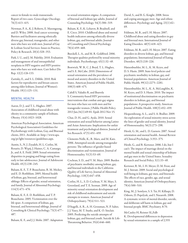cancer in female-to-male transsexuals: Report of two cases. Gynecologic Oncology. 76(3):413–415.

Newman, P. A., K. J. Roberts, E. Masongsong, and D. Wiley. 2008. Anal cancer screening: Barriers and facilitators among ethnically diverse gay, bisexual, transgender, and other men who have sex with men. Journal of Gay & Lesbian Social Services: Issues in Practice, Policy & Research. 20(4):328–353.

Park, I. U., and J. M. Palefsky. 2010. Evaluation and management of anal intraepithelial neoplasia in HIV-negative and HIV-positive men who have sex with men. Curr Infect Dis Rep. 12(2):126-133.

Zaritsky, E., and S. L. Dibble. 2010. Risk factors for reproductive and breast cancers among older lesbians. Journal of Women's Health. 19(1):125–131.

#### MENTAL HEALTH

Aaron, D. J., and T. L. Hughes. 2007. Association of childhood sexual abuse with obesity in a community sample of lesbians. Obesity. 15(4):1023–1028.

American Psychological Association. American Psychological Association's Guidelines for Psychotherapy with Lesbian, Gay, and Bisexual clients, 2011. Available at: http://www.apa. org/pi/lgbt/resources/guidelines.aspx.

Austin, S., N. J. Ziyadeh, H. L. Corliss, M. Rosario, D. Wypij, J. Haines, C. A. Camargo, Jr., and A. E. Field. 2009. Sexual orientation disparities in purging and binge eating from early to late adolescence. Journal of Adolescent Health. 45(3):238–245.

Balsam, K. F., T. P. Beauchaine, R. M. Mickey, and E. D. Rothblum. 2005. Mental health of lesbian, gay, bisexual, and heterosexual siblings: Effects of gender, sexual orientation, and family. Journal of Abnormal Psychology. 114(3):471–476.

Balsam, K. F., E. D. Rothblum, and T. P. Beauchaine. 2005. Victimization over the life span: A comparison of lesbian, gay, bisexual, and heterosexual siblings. Journal of Consulting & Clinical Psychology. 73(3):477– 487.

Balsam, K. F., and J. J. Mohr. 2007. Adaptation

to sexual orientation stigma: A comparison of bisexual and lesbian/gay adults. Journal of Counseling Psychology. 54(3):306–319.

Balsam, K. F., K. Lehavot, B. Beadnell, and E. Circo. 2010. Childhood abuse and mental health indicators among ethnically diverse lesbian, gay, and bisexual adults. Journal of Consulting and Clinical Psychology. 78(4):459–468.

Burckell, L. A., and M. R. Goldfried. 2006. Therapist qualities preferred by sexual minority individuals. Psychotherapy. 43(1):32–49.

Bostwick, W. B., C. J. Boyd, T. L. Hughes, and S. E. McCabe. 2010. Dimensions of sexual orientation and the prevalence of mood and anxiety disorders in the United States. American Journal of Public Health. 100(3):468–475.

Cahill S, Valadéz R, and Ibarrola S. Community-based HIV prevention interventions that combat anti-gay stigma for men who have sex with men and for transgender women. J Public Health Policy. 2013 Jan;34(1):69-81. Epub 2012 Nov 15.

Chae, D. H., and G. Ayala. 2010. Sexual orientation and sexual behavior among Latino and Asian Americans: Implications for unfair treatment and psychological distress. Journal of Sex Research. 47(5):451–459.

Clements-Nolle, K., R. Marx, and M. Katz. 2006. Attempted suicide among transgender persons: The influence of gender-based discrimination and victimization. Journal of Homosexuality. 51(3):53–69.

Cochran, S. D., and V. M. Mays. 2009. Burden of psychiatric morbidity among lesbian, gay, and bisexual individuals in the California Quality of Life Survey. Journal of Abnormal Psychology. 118(3):647–658.

Corliss, H. L., S. D. Cochran, V. M. Mays, S. Greenland, and T. E. Seeman. 2009. Age of minority sexual orientation development and risk of childhood maltreatment and suicide attempts in women. American Journal of Orthopsychiatry. 79(4):511–521.

D'Augelli, A. R., A. H. Grossman, N. P. Salter, J. J. Vasey, M. T. Starks, and K. O. Sinclair. 2005. Predicting the suicide attempts of lesbian, gay, and bisexual youth. Suicide & Life-Threatening Behavior. 35(6):646–660.

David, S., and B. G. Knight. 2008. Stress and coping among gay men: Age and ethnic differences. Psychology and Aging. 23(1):62– 69.

Feldman, M. B., and I. H. Meyer. 2007. Childhood abuse and eating disorders in gay and bisexual men. International Journal of Eating Disorders. 40(5):418–423.

Feldman, M. B., and I. H. Meyer. 2007. Eating disorders in diverse lesbian, gay, and bisexual populations. International Journal of Eating Disorders. 40(3):218–226.

Hatzenbuehler, M. L., K. M. Keyes, and D. S. Hasin. 2009. State-level policies and psychiatric morbidity in lesbian, gay, and bisexual populations. American Journal of Public Health. 99(12):2275–2281.

Hatzenbuehler, M. L., K. A. McLaughlin, K. M. Keyes, and D. S. Hasin. 2010. The impact of institutional discrimination on psychiatric disorders in lesbian, gay, and bisexual populations: A prospective study. American Journal of Public Health. 100(3):452–459.

Hequembourg, A. L., and S. A. Brallier. 2009. An exploration of sexual minority stress across the lines of gender and sexual identity. Journal of Homosexuality. 56(3):273–298.

Herek, G. M., and L. D. Garnets. 2007. Sexual orientation and mental health. Annual Review of Clinical Psychology. 3:353–375.

Herdt, G., and R. Kertzner. 2006. I do, but I can't: The impact of marriage denial on the mental health and sexual citizenship of lesbians and gay men in the United States. Sexuality Research and Social Policy. 3(1):33–49.

Kertzner, R. M., I. H. Meyer, D. M. Frost, and M. J. Stirratt. 2009. Social and psychological well-being in lesbians, gay men, and bisexuals: The effects of race, gender, age, and sexual identity. American Journal of Orthopsychiatry. 79(4):500–510.

King, M., J. Semlyen, S. S. Tai, H. Killaspy, D. Osborn, D. Popelyuk, and I. Nazareth. 2008. A systematic review of mental disorder, suicide, and deliberate self harm in lesbian, gay and bisexual people. BMC Psychiatry. 8:70.

McCauley H, Reisner SL,Falb K. Developmental differences in depression by sexual orientation in a sample of 2,555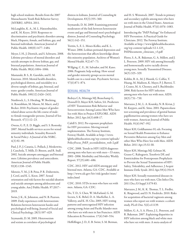high school students: Results from the 2007 Massachusetts Youth Risk Behavior Survey (MYRBS). APHA. 2011.

McLaughlin, K. A., M. L. Hatzenbuehler, and K. M. Keyes. 2010. Responses to discrimination and psychiatric disorders among black, Hispanic, female, and lesbian, gay, and bisexual individuals. American Journal of Public Health. 100(8):1477–1484.

Meyer, I. H., J. Dietrich, and S. Schwartz. 2008. Lifetime prevalence of mental disorders and suicide attempts in diverse lesbian, gay, and bisexual populations. American Journal of Public Health. 98(6):1004–1006.

Mustanski, B. S., R. Garofalo, and E. M. Emerson. 2010. Mental health disorders, psychological distress, and suicidality in a diverse sample of lesbian, gay, bisexual, and trans- gender youths. American Journal of Public Health. 100(12):2426–2432.

Nuttbrock, L., S. Hwahng, W. Bockting, A. Rosenblum, M. Mason, M. Macri, and J. Becker. 2010. Psychiatric impact of genderrelated abuse across the life course of maleto-female transgender persons. Journal of Sex Research. 47(1):12–23.

Owens, G. P., E. D. Riggle, and S. S. Rostosky. 2007. Mental health services access for sexual minority individuals. Sexuality Research & Social Policy: A Journal of the NSRC. 4(3):92–99.

Paul, J. P., J. Catania, L. Pollack, J. Moskowitz, J. Canchola, T. Mills, D. Binson, and R. Stall. 2002. Suicide attempts among gay and bisexual men: Lifetime prevalence and antecedents. American Journal of Public Health. 92(8):1338–1345.

Silenzio, V. M., J. B. Pena, P. R. Duberstein, J. Cerel, and K. L. Knox. 2007. Sexual orientation and risk factors for suicidal ideation and suicide attempts among adolescents and young adults. Am J Public Health. 97:2017– 2019.

Swim, J. K., K. Johnston, and N. B. Pearson. 2009. Daily experiences with heterosexism: Relations between heterosexist hassles and psychological well-being. Journal of Social and Clinical Psychology. 28(5):597–629.

Szymanski, D. M. 2005. Heterosexism and sexism as correlates of psychological distress in lesbians. Journal of Counseling & Development. 83(3):355–360.

Szymanski, D. M. 2009. Examining potential moderators of the link between heterosexist events and gay and bisexual men's psychological distress. Journal of Counseling Psychology. 56(1):142–151.

Trettin, S., E. L. Moses-Kolko, and K. L. Wisner. 2006. Lesbian perinatal depression and the heterosexism that affects knowledge about this minority population. Archives of Women's Mental Health. 9(2):67–73.

Willging, C. E., M. Salvador, and M. Kano. 2006. Pragmatic help seeking: How sexual and gender minority groups access mental health care in a rural state. Psychiatric Services. 57(6):871–874.

#### SEXUAL HEALTH

Bedoya CA, Mimiaga MJ, Beauchamp G, Donnell D, Mayer KH, Safren, SA. Predictors of HIV Transmission Risk Behavior and Seroconversion Among Latino Men Who have Sex with Men in Project EXPLORE. AIDS Behav. 2012 Apr;16(3):608-17.

Cahill S. 2012. Pre-exposure prophylaxis for HIV prevention: Moving toward implementation. The Fenway Institute, Fenway Health. Available at http://www. lgbthealtheducation.org/wp-content/uploads/ PolicyFocus\_PrEP\_secondedition\_web-2.pdf

CDC. 2008. Trends in HIV/AIDS diagnoses among men who have sex with men—33 states, 2001–2006. Morbidity and Mortality Weekly Report. 57(25):681–686.

CDC. 2012. HIV and AIDS among gay and bisexual men. Atlanta, GA: CDC. Available at http://www.cdc.gov/hiv/risk/gender/msm/ index.html

CDC. 2010. STDs in men who have sex with men. Atlanta, GA: CDC.

Do, T. D., S. Chen, W. McFarland, G. M. Secura, S. K. Behel, D. A. MacKellar, L. A. Valleroy, and K. H. Cho. 2005. HIV testing patterns and unrecognized HIV infection among young Asian and Pacific Islander men who have sex with men in San Francisco. AIDS Education & Prevention. 17(6):540–554.

Heffelfinger, J. D., E. B. Swint, S. M. Berman,

and H. S. Weinstock. 2007. Trends in primary and secondary syphilis among men who have sex with men in the United States. American Journal of Public Health. 97(6):1076–1083.

Introducing the "PrEP Package" for Enhanced HIV Prevention: A Practical Guide for Clinicians. 2012. The Fenway Institute. Available at http://www.lgbthealtheducation. org/wp-content/uploads/12-1.125\_ PrEPdocuments\_clinicians\_v3.pdf

Flores, S. A., R. Bakeman, G. A. Millett, and J. L. Peterson. 2009. HIV risk among bisexually and homosexually active racially diverse young men. Sexually Transmitted Diseases. 36(5):325–329.

Koblin, B. A., M. J. Husnik, G. Colfax, Y. Huang, M. Madison, K. Mayer, P. J. Barresi, T. J. Coates, M. A. Chesney, and S. Buchbinder. 2006. Risk factors for HIV infection among men who have sex with men. AIDS. 20(5):731–739.

Marrazzo, J. M., L. A. Koutsky, N. B. Kiviat, J. M. Kuypers, and K. Stine. 2001. Papanicolaou test screening and prevalence of genital human papillomavirus among women who have sex with women. American Journal of Public Health. 91(6):947–952

Mayer KH, Goldhammer H, eds. Focusing on Sexual Health Promotion to Enhance Preventive Behaviors among Gay Men and other Men Who Have Sex with Men. AIDS Behav. 2011 Apr;15:S1-S8.

Mayer KH, Mimiaga MJ, Gelman M, Grasso C. Raltegravir, Tenofovir DF, and Emtricitabine for Postexposure Prophylaxis to Prevent the Sexual Transmission of HIV: Safety, Tolerability, and Adherence. J Acquir Immune Defic Syndr. 2012 Apr;59(4):354-9.

Mayer KH. Sexually transmitted diseases in men who have sex with men. Clin Infect Dis. 2011 Dec;53 Suppl 3:S79-83.

Marrazzo, J. M., K. K. Thomas, T. L. Fiedler, K. Ringwood, and D. N. Fredricks. 2010. Risks for acquisition of bacterial vaginosis among women who report sex with women: a cohort study. PLoS One. 5(6):e11139.

Millett, G. A., S. A. Flores, J. L. Peterson, and R. Bakeman. 2007. Explaining disparities in HIV infection among black and white men who have sex with men: A meta-analysis of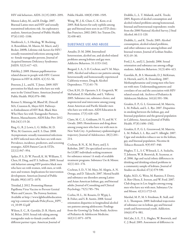HIV risk behaviors. AIDS. 21(15):2083–2091.

Munoz-Laboy, M., and B. Dodge. 2007. Bisexual Latino men and HIV and sexually transmitted infections risk: An exploratory analysis. American Journal of Public Health. 97(6):1102–1106.

Nuttbrock, L., S. Hwahng, W. Bockting, A. Rosenblum, M. Mason, M. Macri, and J. Becker. 2009b. Lifetime risk factors for HIV/ sexually transmitted infections among maleto- female transgender persons. Journal of Acquired Immune Deficiency Syndromes: JAIDS. 52(3):417–421.

Palefsky, J. 2009. Human papillomavirusrelated disease in people with HIV. Current Opinion in HIV & AIDS. 4(1):52–56.

Peterson, J. L., and K. T. Jones. 2009. HIV prevention for black men who have sex with men in the United States. American Journal of Public Health. 99(6):976–980.

Reisner S, Mimiaga M, Bland SE, Driscoll MA, Cranston K, Mayer KH. Pathways to Embodiment of HIV Risk: Black Men Who Have Sex with Transgender Partners, Boston, Massachusetts. AIDS Educ Prev 2012 Feb;24(1):15-26.

Rieg, G., R. J. Lewis, L. G. Miller, M. D. Witt, M. Guerrero, and E. S. Daar. 2008. Asymptomatic sexually transmitted infections in HIV-infected men who have sex with men: Prevalence, incidence, predictors, and screening strategies. AIDS Patient Care & STDs. 22(12):947–954.

Spikes, P. S., D. W. Purcell, K. M. Williams, Y. Chen, H. Ding, and P. S. Sullivan. 2009. Sexual risk behaviors among HIV-positive black men who have sex with women, with men, or with men and women: Implications for intervention development. American Journal of Public Health. 99(6):1072–1078.

Trinidad, J. 2012. Promoting Human Papilloma Virus Vaccine to Prevent Genital Warts and Cancers. The Fenway Institute. Available at http://www.lgbthealtheducation. org/wp-content/uploads/PolicyFocus\_HPV\_ v4\_10-09-12.pdf

Wilson, E. C., R. Garofalo, D. R. Harris, and M. Belzer. 2010. Sexual risk taking among transgender male-to-female youths with different partner types. American Journal of

Public Health. 100(8):1500–1505.

Wong, W., J. K. Chaw, C. K. Kent, et al. 2005. Risk factors for early syphilis among gay and bisexual men seen in an STD clinic: San Francisco, 2002-2003. Sex Transm Dis. 32:458-463.

#### SUBSTANCE USE AND ABUSE

Amadio, D. M. 2006. Internalized heterosexism, alcohol use, and alcohol-related problems among lesbians and gay men. Addictive Behaviors. 31:1153-1162.

Burgard, S. A., S. D. Cochran, and V. M. Mays. 2005. Alcohol and tobacco use patterns among heterosexually and homosexually experienced California women. Drug & Alcohol Dependence. 77(1):61–70.

Choi, K.H., D. Operario, S. E. Gregorich, W. McFarland, D. MacKellar, and L. Valleroy. 2005. Substance use, substance choice, and unprotected anal intercourse among young Asian American and Pacific Islander men who have sex with men. AIDS Education & Prevention. 17(5):418–429.

Clatts, M. C., L. Goldsamt, H. Yi, and M. V. Gwadz. 2005. Homelessness and drug abuse among young men who have sex with men in New York City: A preliminary epidemiological trajectory. Journal of Adolescence. 28(2):201– 214.

Cochran, B. N., K. M. Peavy, and J. S. Robohm. 2007. Do specialized services exist for LGBT individuals seeking treatment for substance misuse? A study of available treatment programs. Substance Use & Misuse. 42(1):161–176.

Cochran, S. D., V. M. Mays, M. Alegria, A. N. Ortega, and D. Takeuchi. 2007. Mental health and substance use disorders among Latino and Asian American lesbian, gay, and bisexual adults. Journal of Consulting and Clinical Psychology. 75(5):785–794.

Corliss, H. L., M. Rosario, D. Wypij, L. B. Fisher, and S. B. Austin. 2008. Sexual orientation disparities in longitudinal alcohol use patterns among adolescents: Findings from the Growing Up Today Study. Archives of Pediatrics & Adolescent Medicine. 162(11):1071–1078.

Drabble, L., L. T. Midanik, and K. Trocki. 2005. Reports of alcohol consumption and alcohol-related problems among homosexual, bisexual and heterosexual respondents: results from the 2000 National Alcohol Survey. J Stud Alcohol. 66:111-120.

Drabble, L., and K. Trocki. 2005. Alcohol consumption, alcohol-related problems, and other substance use among lesbian and bisexual women. Journal of Lesbian Studies. 9(3):19–30.

Ford, J. A., and J. L. Jasinski. 2006. Sexual orientation and substance use among college students. Addictive Behaviors. 31(3):404–413.

Garofalo, R., B. S. Mustanski, D. J. McKirnan, A. Herrick, and G. R. Donenberg. 2007. Methamphetamine and young men who have sex with men: Understanding patterns and correlates of use and the association with HIVrelated sexual risk. Archives of Pediatrics & Adolescent Medicine. 161(6):591–596.

Gruskin, E. P., G. L. Greenwood, M. Matevia, L. M. Pollack, and L. L. Bye. 2007. Disparities in smoking between the lesbian, gay, and bisexual population and the general population in California. American Journal of Public Health. 97(8):1496–1502.

Gruskin, E. P., G. L. Greenwood, M. Matevia, L. M. Pollack, L. L. Bye, and V. Albright. 2007. Cigar and smokeless tobacco use in the lesbian, gay, and bisexual population. Nicotine & Tobacco Research. 9(9):937–940.

Hughes, T. L., S. C Wilsnack, L. A. Szalacha, T. Johnson, W. B. Bostwick, R. Seymour, et al. 2006. Age and racial/ethnic differences in drinking and drinking-related problems in a community sample of lesbians. Journal of Studies on Alcohol. 67(4):579-590.

Kipke, M.D., G. Weiss, M. Ramirez, F. Dorey, A. Ritt-Olson, E. Iverson, and W. Ford. 2007. Club drug use in Los Angeles among young men who have sex with men. Substance Use and Misuse. 42(11):1723-43.

Marshal, M. P., M. S. Friedman, R. Stall, and A. L. Thompson. 2009. Individual trajectories of substance use in lesbian, gay and bisexual youth and heterosexual youth. Addiction. 104(6):974–981.

McCabe, S. E., T. L. Hughes, W. Bostwick, and C. J. Boyd. 2005. Assessment of difference in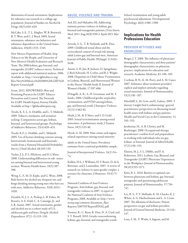dimensions of sexual orientation: Implications for substance use research in a college-age population. Journal of Studies on Alcohol & Drugs. 66(5):620–629.

McCabe, S. E., T. L. Hughes, W. B. Bostwick, B. T. West, and C. J. Boyd. 2009. Sexual orientation, substance use behaviors and substance dependence in the United States. Addiction. 104(8):1333–1345.

New Mexico Department of Health, Stop Tobacco on My People, and University of New Mexico's Health Evaluation and Research Team. The 2006 lesbian, gay, bisexual, and transgender (LGBT) tobacco survey. Technical report with additional statistical analyses. 2006. Available at: http://www.lgbttobacco.org/ files/New%20Mexico%202006%20LGBT%20 Report-General.pdf.

Scout. 2012. MPOWERED: Best and Promising Practices for LGBT Tobacco Prevention and Control. The Newtork for LGBT Health Equity, Fenway Health. Available at http://lgbthealthequity.org

Trocki, K. F., L. A. Drabble, and L. T. Midanik. 2009. Tobacco, marijuana, and sensation seeking: Comparisons across gay, lesbian, bisexual, and heterosexual groups. Psychology of Addictive Behaviors. 23(4):620–631.

Trocki, K.F., L. Drabble, and L. Midanik. 2005. Use of heavier drinking contexts among heterosexuals, homosexuals and bisexuals: results from a National Household Probability Survey. J Stud Alcohol. 66:105-110.

Tucker, J. S., P. L. Ellickson, and D. J. Klein. 2008. Understanding differences in sub- stance use among bisexual and heterosexual young women. Womens Health Issues. 18(5):387– 398.

Wong, C. F., M. D. Kipke, and G. Weiss. 2008. Risk factors for alcohol use, frequent use, and binge drinking among young men who have sex with men. Addictive Behaviors. 33(8):1012– 1020.

Ziyadeh, N. J., L. A. Prokop, L. B. Fisher, M. Rosario, A. E. Field, C. A. Camargo, Jr., and S. B. Austin. 2007. Sexual orientation, gender, and alcohol use in a cohort study of U.S. adolescent girls and boys. Drug & Alcohol Dependence. 87(2–3):119–130.

#### ABUSE, VIOLENCE AND TRAUMA

Ard, KL and Makadon HJ. Addressing intimate partner violence in lesbian, gay, bisexual and transgender patients. J Gen Intern Med. 2011 Aug;26(8):930-3. Epub 2011 Mar 30.

Arreola, S. G., T. B. Neilands, and R. Diaz. 2009. Childhood sexual abuse and the sociocultural context of sexual risk among adult Latino gay and bisexual men. American Journal of Public Health. 99(Suppl. 2):S432– S438.

Austin, S, H. Jun, B. Jackson, D. Spiegelman, J. Rich-Edwards, H. Corliss, and R. J. Wright. 2008. Disparities in Child Abuse Victimization in Lesbian, Bisexual, and Heterosexual Women in the Nurses' Health Study II. Journal of Women's Health. 17:597-606.

D'Augelli, A. R., A. H. Grossman, and M. T. Starks. 2006. Childhood gender atypicality, victimization, and PTSD among lesbian, gay, and bisexual youth. J Interpers Violence. 21(11):1462-82.

Heidt, J. M., B, P. Marx, and S. D. Gold. 2005. Sexual revictimization among sexual minorities: A preliminary study. J Trauma Stress. 18(5):533-40.

Herek, G. M. 2009. Hate crimes and stigmarelated experiences among sexual minority

adults in the United States: Prevalence estimates from a national probability sample.

Journal of Interpersonal Violence. 24(1):54– 74.

Kulkin, H.S., J. Williams, H. F. Borne, D. de la Bretonne, and J. Laurendine. 2007. A review of research on violence in same-gender couples: a resource for clinicians. J Homosex. 53(4):71- 87.

National Coalition of Anti-Violence Programs. Anti-lesbian, gay, bisexual, and transgender violence in 2007. A report of the National Coalition of Anti-Violence Programs, 2008. Available at: http://www. ncavp.org/common/document\_files/ Reports/2007HVReportFINAL.pdf.

Toomey, R., C. Ryan, R. Diaz, N. A. Card, and S. T. Russell. 2010. Gender nonconforming lesbian, gay, bisexual, and transgender youth:

School victimization and young adult psychosocial adjustment. Developmental Psychology. 46(6):1580–1589.

#### **Implications for Health Professions Education**

#### PROVIDER ATTITUDES AND KNOWLEDGE

Berger, J. T. 2008. The influence of physicians' demographic characteristics and their patients' demographic characteristics on physician practice: implications for education and research. Academic Medicine, 83, 100–105.

Cochran, B. N., K. M. Peavy, and A. M. Cauce. 2007. Substance abuse treatment providers' explicit and implicit attitudes regarding sexual minorities. Journal of Homosexuality. 53(3):181–207.

Hinchliff, S., M. Gott, and E. Galena. 2005. 'I daresay I might find it embarrassing': general practitioners' perspectives on discussing sexual health issues with lesbian and gay patients. Health and Social Care in the Community. 13, 345–353.

Javaherian, H., A. B. Christy, and M. Boehringer. 2008. Occupational therapy practitioners' comfort level and preparedness in working with individuals who are gay, lesbian, or bisexual. Journal of Allied Health. 37(3):150–155.

Eliason, M. J., S. L. Dibble, and P. A. Robertson. 2011. Lesbian, Gay, Bisexual, and Transgender (LGBT) Physicians' Experiences in the Workplace. Journal of Homosexuality. 58(10)1355-1371.

Kitts, R. L. 2010. Barriers to optimal care between physicians and lesbian, gay, bisexual, transgender and questioning adolescent patients. Journal of Homosexuality. 57:730– 747.

Lee, R. S., T. V. Melhado, K. M. Chacko, K. J. White, A. G. Huebschmann and L. A. Crane. 2007. The dilemma of disclosure: Patient perspectives on gay and lesbian providers. Journal of General Internal Medicine. 23:142– 147.

Lena, S. M., T. Wiebe, S. Ingram, and M.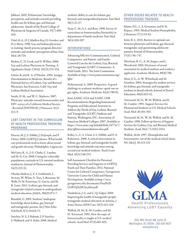Jabbour. 2002. Pediatricians' knowledge, perceptions, and attitudes towards providing health care for lesbian, gay, and bisexual adolescents. Annals of the Royal College of Physicians & Surgeons of Canada. 35(7):406– 410.

Oriel, K.A., D. J. Madlon-Kay, D. Govaker, and D. J. Mersy. 1996. Gay and lesbian physicians in training: family practice program directors' attitudes and students' perceptions of bias. Fam Med. 28:720.

Risdon, C, D. Cook, and D. Willms. 2000. Gay and Lesbian Physicians in Training: A Qualitative Study. CMAJ. 162(3):331-334.

Schatz, B, and K. A. O'Hanlan. 1994. Antigay Discrimination in Medicine: Results of a National Survey of Lesbian, Gay and Bisexual Physicians. San Francisco, Calif: Gay and Lesbian Medical Association.

Smith, D. M,. and W. C. Mathews. 2007. Physicians' attitudes toward homosexuality and HIV: survey of a California Medical Society - Revisited (PATHH-II). J Homosex. 52(3- 4):1-9.

#### LGBT CONTENT IN THE CURRICULUM OF HEALTH PROFESSIONS TRAINING PROGRAMS

Eliason, M. J., S. Dibble, J. DeJoseph, and P. Chinn. 2009. LGBTQ Cultures: What health care professionals need to know about sexual and gender diversity. Philadelphia: Lippincott.

McGarry, K. A., J. G. Clarke, C. Landau, and M. G. Cyr. 2008. Caring for vulnerable populations: curricula in U.S. internal medicine residencies. Journal of Homosexuality. 54(3):225-32.

Obedin-Maliver, J., E. S. Goldsmith, L. Stewart, W. White, E. Tran, S. Brenman, M. Wells, D. M. Fetterman, G. Garcia, and M. R. Lunn. 2011. Lesbian, gay, bisexual, and transgender-related content in undergraduate medical education. JAMA. 306(9):971-7.

Rondahl, G. 2009. Students' inadequate knowledge about lesbian, gay, bisexual and transgender persons. Int J Nurs Educ Scholarsh. 6(1):Article 11.

Sanchez, N. F., J. Rabatin, J. P. Sanchez, S. Hubbard, and A. Kalet. 2006. Medical students' ability to care for lesbian, gay, bisexual, and transgendered patients. Fam Med. 38(1):21-27.

Tesar, C. M., S. L. and Rovi. 1998. Survey of curriculum on homosexuality/bisexuality in departments of family medicine. Fam Med. 30(4):283-287.

#### INTERVENTIONS

Advancing Effective Communication, Cultural Competence, and Patient- and Family-Centered Care for the Lesbian, Gay, Bisexual, and Transgender (LGBT) Community: A Field Guide. 2011. The Joint Commission. Available at http://www.jointcommission.org/ lgbt/

Dohrenwend, A. 2009. Perspective: A grand challenge to academic medicine: speak out on gay rights. Academic Medicine. 84(6):788-92.

Joint AAMC-GSA and AAMC-OSR Recommendations Regarding Institutional Programs and Educational Activities to Address the Needs of Gay, Lesbian, Bisexual and Transgender (GLBT) Students and Patients. Washington, DC: Association of American Medical Colleges; 2007. Available at https://www.aamc.org/linkableblob/54774-7/ data/glbtrecommendations-data.pdf.

Kelley, L., C. L. Chou, S. L. Dibble, and P. A. Robertson. 2008. A critical intervention in lesbian, gay, bisexual, and transgender health: knowledge and attitude outcomes among second-year medical students. Teach Learn Med. 20(3):248-253.

Self-Assessment Checklist for Personnel Providing Services and Supports to LGBTQ Youth and Their Families. 2012. National Center for Cultural Competence, Georgetown University Center for Child and Human Development. Available at http://nccc. georgetown.edu/documents/Final%20 LGBTQ%20Checklist.pdf

Vanderleest, J. G. and C. Q. Galper. 2009. Improving the health of transgender people: transgender medical education in Arizona. J Assoc Nurses AIDS Care. 20(5):411-416.

Wallick, M. M., K. M. Cambre, and M. H. Townsend. 1992. How the topic of homosexuality is taught at U.S. medical schools. Acad Med. 67(9):601-603.

#### OTHER ISSUES RELATED TO HEALTH PROFESSIONS TRAINING

Klame, D.L., L. S. Grossman, and D. R. Kopacz. 1993. Medical Student Homophobia. J Homosex 37(1):53-63.

Kitts, R. L. 2010. Barriers to optimal care between physicians and lesbian, gay, bisexual, transgender, and questioning adolescent patients. Journal of Homosexuality. 57(6):730–747.

Merchant, R. C., A. M. Jongco, and L. Woodward. 2005. Disclosure of sexual orientation by medical students and residency applicants. Academic Medicine. 80(8):786.

More, F. G., A. W. Whitehead, and M. Gonthier. 2004. Strategies for student services for lesbian, gay, bisexual, and transgender students in dental schools. Journal of Dental Education. 68(6):623-32.

Townsend, M. H., W. M. Wallick, and K. M. Cambre. 1991. Support Services for Homosexual Students at U.S. Medical Schools. Acad. Med. 66:361-363.

Townsend, M. H., W. M. Wallick, and K. M. Cambre. 1996. Follow-up Survey of Support Services for Lesbina, Gay, and Bisexual Medical Students. Acad. Med. 71:1012-1014.

Wallick, M.M. 1997. Homophobia and heterosexism: out of the medical school closet. NC Med J. 58:123-125



1326 18th Street NW, Suite 22 Washington, DC 20036 | 202-600-8037 www.glma.org